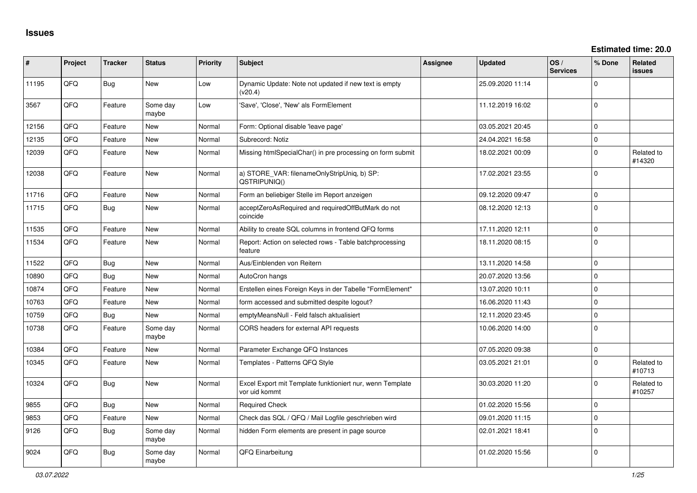| ∦     | Project | <b>Tracker</b> | <b>Status</b>     | Priority | Subject                                                                    | <b>Assignee</b> | <b>Updated</b>   | OS/<br><b>Services</b> | % Done       | Related<br><b>issues</b> |
|-------|---------|----------------|-------------------|----------|----------------------------------------------------------------------------|-----------------|------------------|------------------------|--------------|--------------------------|
| 11195 | QFQ     | <b>Bug</b>     | <b>New</b>        | Low      | Dynamic Update: Note not updated if new text is empty<br>(v20.4)           |                 | 25.09.2020 11:14 |                        | $\Omega$     |                          |
| 3567  | QFQ     | Feature        | Some day<br>maybe | Low      | 'Save', 'Close', 'New' als FormElement                                     |                 | 11.12.2019 16:02 |                        | $\mathbf 0$  |                          |
| 12156 | QFQ     | Feature        | <b>New</b>        | Normal   | Form: Optional disable 'leave page'                                        |                 | 03.05.2021 20:45 |                        | $\mathbf 0$  |                          |
| 12135 | QFQ     | Feature        | <b>New</b>        | Normal   | Subrecord: Notiz                                                           |                 | 24.04.2021 16:58 |                        | $\mathsf{O}$ |                          |
| 12039 | QFQ     | Feature        | <b>New</b>        | Normal   | Missing htmlSpecialChar() in pre processing on form submit                 |                 | 18.02.2021 00:09 |                        | $\mathbf 0$  | Related to<br>#14320     |
| 12038 | QFQ     | Feature        | <b>New</b>        | Normal   | a) STORE_VAR: filenameOnlyStripUniq, b) SP:<br>QSTRIPUNIQ()                |                 | 17.02.2021 23:55 |                        | $\mathbf 0$  |                          |
| 11716 | QFQ     | Feature        | <b>New</b>        | Normal   | Form an beliebiger Stelle im Report anzeigen                               |                 | 09.12.2020 09:47 |                        | $\mathbf{0}$ |                          |
| 11715 | QFQ     | Bug            | <b>New</b>        | Normal   | acceptZeroAsRequired and requiredOffButMark do not<br>coincide             |                 | 08.12.2020 12:13 |                        | $\mathbf{0}$ |                          |
| 11535 | QFQ     | Feature        | <b>New</b>        | Normal   | Ability to create SQL columns in frontend QFQ forms                        |                 | 17.11.2020 12:11 |                        | $\mathbf 0$  |                          |
| 11534 | QFQ     | Feature        | New               | Normal   | Report: Action on selected rows - Table batchprocessing<br>feature         |                 | 18.11.2020 08:15 |                        | $\mathbf 0$  |                          |
| 11522 | QFQ     | Bug            | <b>New</b>        | Normal   | Aus/Einblenden von Reitern                                                 |                 | 13.11.2020 14:58 |                        | $\mathbf 0$  |                          |
| 10890 | QFQ     | Bug            | <b>New</b>        | Normal   | AutoCron hangs                                                             |                 | 20.07.2020 13:56 |                        | $\mathbf{0}$ |                          |
| 10874 | QFQ     | Feature        | <b>New</b>        | Normal   | Erstellen eines Foreign Keys in der Tabelle "FormElement"                  |                 | 13.07.2020 10:11 |                        | $\mathbf 0$  |                          |
| 10763 | QFQ     | Feature        | New               | Normal   | form accessed and submitted despite logout?                                |                 | 16.06.2020 11:43 |                        | $\mathsf 0$  |                          |
| 10759 | QFQ     | Bug            | <b>New</b>        | Normal   | emptyMeansNull - Feld falsch aktualisiert                                  |                 | 12.11.2020 23:45 |                        | $\mathbf 0$  |                          |
| 10738 | QFQ     | Feature        | Some day<br>maybe | Normal   | CORS headers for external API requests                                     |                 | 10.06.2020 14:00 |                        | $\mathbf{0}$ |                          |
| 10384 | QFQ     | Feature        | <b>New</b>        | Normal   | Parameter Exchange QFQ Instances                                           |                 | 07.05.2020 09:38 |                        | $\mathbf{0}$ |                          |
| 10345 | QFQ     | Feature        | <b>New</b>        | Normal   | Templates - Patterns QFQ Style                                             |                 | 03.05.2021 21:01 |                        | $\Omega$     | Related to<br>#10713     |
| 10324 | QFQ     | Bug            | New               | Normal   | Excel Export mit Template funktioniert nur, wenn Template<br>vor uid kommt |                 | 30.03.2020 11:20 |                        | $\Omega$     | Related to<br>#10257     |
| 9855  | QFQ     | Bug            | <b>New</b>        | Normal   | <b>Required Check</b>                                                      |                 | 01.02.2020 15:56 |                        | $\mathbf 0$  |                          |
| 9853  | QFQ     | Feature        | <b>New</b>        | Normal   | Check das SQL / QFQ / Mail Logfile geschrieben wird                        |                 | 09.01.2020 11:15 |                        | $\mathbf{0}$ |                          |
| 9126  | QFQ     | <b>Bug</b>     | Some day<br>maybe | Normal   | hidden Form elements are present in page source                            |                 | 02.01.2021 18:41 |                        | 0            |                          |
| 9024  | QFQ     | <b>Bug</b>     | Some day<br>maybe | Normal   | QFQ Einarbeitung                                                           |                 | 01.02.2020 15:56 |                        | $\Omega$     |                          |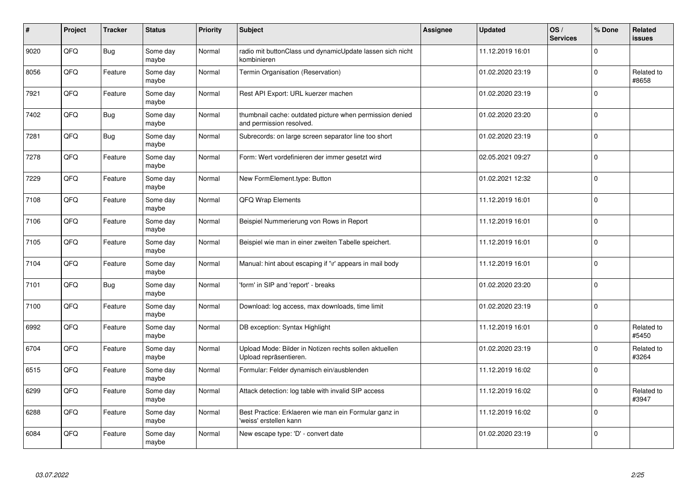| $\vert$ # | Project | <b>Tracker</b> | <b>Status</b>     | <b>Priority</b> | <b>Subject</b>                                                                       | <b>Assignee</b> | <b>Updated</b>   | OS/<br><b>Services</b> | % Done      | Related<br><b>issues</b> |
|-----------|---------|----------------|-------------------|-----------------|--------------------------------------------------------------------------------------|-----------------|------------------|------------------------|-------------|--------------------------|
| 9020      | QFQ     | <b>Bug</b>     | Some day<br>maybe | Normal          | radio mit buttonClass und dynamicUpdate lassen sich nicht<br>kombinieren             |                 | 11.12.2019 16:01 |                        | $\Omega$    |                          |
| 8056      | QFQ     | Feature        | Some day<br>maybe | Normal          | Termin Organisation (Reservation)                                                    |                 | 01.02.2020 23:19 |                        | $\Omega$    | Related to<br>#8658      |
| 7921      | QFQ     | Feature        | Some day<br>maybe | Normal          | Rest API Export: URL kuerzer machen                                                  |                 | 01.02.2020 23:19 |                        | $\Omega$    |                          |
| 7402      | QFQ     | <b>Bug</b>     | Some day<br>maybe | Normal          | thumbnail cache: outdated picture when permission denied<br>and permission resolved. |                 | 01.02.2020 23:20 |                        | $\Omega$    |                          |
| 7281      | QFQ     | <b>Bug</b>     | Some day<br>maybe | Normal          | Subrecords: on large screen separator line too short                                 |                 | 01.02.2020 23:19 |                        | $\Omega$    |                          |
| 7278      | QFQ     | Feature        | Some day<br>maybe | Normal          | Form: Wert vordefinieren der immer gesetzt wird                                      |                 | 02.05.2021 09:27 |                        | $\Omega$    |                          |
| 7229      | QFQ     | Feature        | Some day<br>maybe | Normal          | New FormElement.type: Button                                                         |                 | 01.02.2021 12:32 |                        | $\mathbf 0$ |                          |
| 7108      | QFQ     | Feature        | Some day<br>maybe | Normal          | QFQ Wrap Elements                                                                    |                 | 11.12.2019 16:01 |                        | $\Omega$    |                          |
| 7106      | QFQ     | Feature        | Some day<br>maybe | Normal          | Beispiel Nummerierung von Rows in Report                                             |                 | 11.12.2019 16:01 |                        | $\Omega$    |                          |
| 7105      | QFQ     | Feature        | Some day<br>maybe | Normal          | Beispiel wie man in einer zweiten Tabelle speichert.                                 |                 | 11.12.2019 16:01 |                        | $\mathbf 0$ |                          |
| 7104      | QFQ     | Feature        | Some day<br>maybe | Normal          | Manual: hint about escaping if '\r' appears in mail body                             |                 | 11.12.2019 16:01 |                        | $\Omega$    |                          |
| 7101      | QFQ     | Bug            | Some day<br>maybe | Normal          | 'form' in SIP and 'report' - breaks                                                  |                 | 01.02.2020 23:20 |                        | $\Omega$    |                          |
| 7100      | QFQ     | Feature        | Some day<br>maybe | Normal          | Download: log access, max downloads, time limit                                      |                 | 01.02.2020 23:19 |                        | $\mathbf 0$ |                          |
| 6992      | QFQ     | Feature        | Some day<br>maybe | Normal          | DB exception: Syntax Highlight                                                       |                 | 11.12.2019 16:01 |                        | 0           | Related to<br>#5450      |
| 6704      | QFQ     | Feature        | Some day<br>maybe | Normal          | Upload Mode: Bilder in Notizen rechts sollen aktuellen<br>Upload repräsentieren.     |                 | 01.02.2020 23:19 |                        | $\Omega$    | Related to<br>#3264      |
| 6515      | QFQ     | Feature        | Some day<br>maybe | Normal          | Formular: Felder dynamisch ein/ausblenden                                            |                 | 11.12.2019 16:02 |                        | $\Omega$    |                          |
| 6299      | QFQ     | Feature        | Some day<br>maybe | Normal          | Attack detection: log table with invalid SIP access                                  |                 | 11.12.2019 16:02 |                        | $\Omega$    | Related to<br>#3947      |
| 6288      | QFQ     | Feature        | Some day<br>maybe | Normal          | Best Practice: Erklaeren wie man ein Formular ganz in<br>'weiss' erstellen kann      |                 | 11.12.2019 16:02 |                        | $\mathbf 0$ |                          |
| 6084      | QFQ     | Feature        | Some day<br>maybe | Normal          | New escape type: 'D' - convert date                                                  |                 | 01.02.2020 23:19 |                        | $\Omega$    |                          |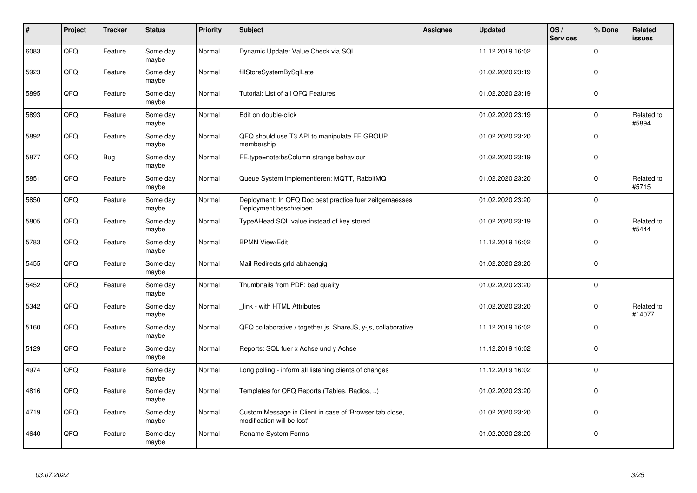| $\vert$ # | Project | <b>Tracker</b> | <b>Status</b>     | <b>Priority</b> | <b>Subject</b>                                                                        | <b>Assignee</b> | <b>Updated</b>   | OS/<br><b>Services</b> | % Done      | Related<br><b>issues</b> |
|-----------|---------|----------------|-------------------|-----------------|---------------------------------------------------------------------------------------|-----------------|------------------|------------------------|-------------|--------------------------|
| 6083      | QFQ     | Feature        | Some day<br>maybe | Normal          | Dynamic Update: Value Check via SQL                                                   |                 | 11.12.2019 16:02 |                        | $\Omega$    |                          |
| 5923      | QFQ     | Feature        | Some day<br>maybe | Normal          | fillStoreSystemBySqlLate                                                              |                 | 01.02.2020 23:19 |                        | $\Omega$    |                          |
| 5895      | QFQ     | Feature        | Some day<br>maybe | Normal          | Tutorial: List of all QFQ Features                                                    |                 | 01.02.2020 23:19 |                        | $\Omega$    |                          |
| 5893      | QFQ     | Feature        | Some day<br>maybe | Normal          | Edit on double-click                                                                  |                 | 01.02.2020 23:19 |                        | $\Omega$    | Related to<br>#5894      |
| 5892      | QFQ     | Feature        | Some day<br>maybe | Normal          | QFQ should use T3 API to manipulate FE GROUP<br>membership                            |                 | 01.02.2020 23:20 |                        | $\Omega$    |                          |
| 5877      | QFQ     | Bug            | Some day<br>maybe | Normal          | FE.type=note:bsColumn strange behaviour                                               |                 | 01.02.2020 23:19 |                        | $\Omega$    |                          |
| 5851      | QFQ     | Feature        | Some day<br>maybe | Normal          | Queue System implementieren: MQTT, RabbitMQ                                           |                 | 01.02.2020 23:20 |                        | $\Omega$    | Related to<br>#5715      |
| 5850      | QFQ     | Feature        | Some day<br>maybe | Normal          | Deployment: In QFQ Doc best practice fuer zeitgemaesses<br>Deployment beschreiben     |                 | 01.02.2020 23:20 |                        | $\Omega$    |                          |
| 5805      | QFQ     | Feature        | Some day<br>maybe | Normal          | TypeAHead SQL value instead of key stored                                             |                 | 01.02.2020 23:19 |                        | $\Omega$    | Related to<br>#5444      |
| 5783      | QFQ     | Feature        | Some day<br>maybe | Normal          | <b>BPMN View/Edit</b>                                                                 |                 | 11.12.2019 16:02 |                        | $\Omega$    |                          |
| 5455      | QFQ     | Feature        | Some day<br>maybe | Normal          | Mail Redirects grld abhaengig                                                         |                 | 01.02.2020 23:20 |                        | $\mathbf 0$ |                          |
| 5452      | QFQ     | Feature        | Some day<br>maybe | Normal          | Thumbnails from PDF: bad quality                                                      |                 | 01.02.2020 23:20 |                        | $\mathbf 0$ |                          |
| 5342      | QFQ     | Feature        | Some day<br>maybe | Normal          | link - with HTML Attributes                                                           |                 | 01.02.2020 23:20 |                        | $\Omega$    | Related to<br>#14077     |
| 5160      | QFQ     | Feature        | Some day<br>maybe | Normal          | QFQ collaborative / together.js, ShareJS, y-js, collaborative,                        |                 | 11.12.2019 16:02 |                        | $\mathbf 0$ |                          |
| 5129      | QFQ     | Feature        | Some day<br>maybe | Normal          | Reports: SQL fuer x Achse und y Achse                                                 |                 | 11.12.2019 16:02 |                        | $\Omega$    |                          |
| 4974      | QFQ     | Feature        | Some day<br>maybe | Normal          | Long polling - inform all listening clients of changes                                |                 | 11.12.2019 16:02 |                        | $\Omega$    |                          |
| 4816      | QFQ     | Feature        | Some day<br>maybe | Normal          | Templates for QFQ Reports (Tables, Radios, )                                          |                 | 01.02.2020 23:20 |                        | $\Omega$    |                          |
| 4719      | QFQ     | Feature        | Some day<br>maybe | Normal          | Custom Message in Client in case of 'Browser tab close,<br>modification will be lost' |                 | 01.02.2020 23:20 |                        | $\mathbf 0$ |                          |
| 4640      | QFQ     | Feature        | Some day<br>maybe | Normal          | Rename System Forms                                                                   |                 | 01.02.2020 23:20 |                        | $\Omega$    |                          |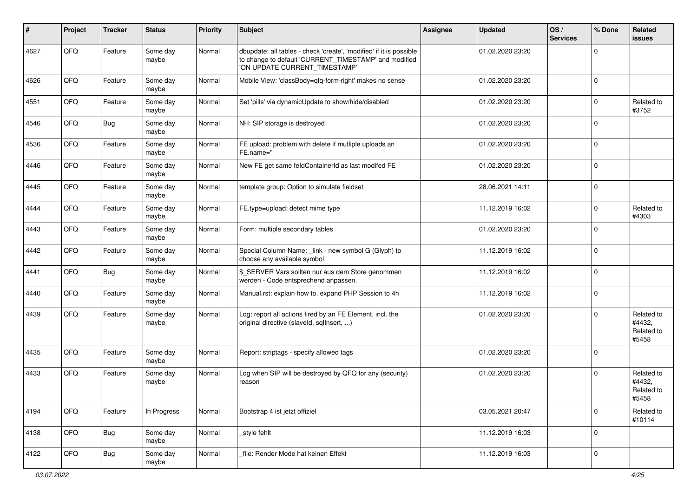| ∦    | Project | <b>Tracker</b> | <b>Status</b>     | <b>Priority</b> | Subject                                                                                                                                                       | Assignee | <b>Updated</b>   | OS/<br><b>Services</b> | % Done      | Related<br><b>issues</b>                    |
|------|---------|----------------|-------------------|-----------------|---------------------------------------------------------------------------------------------------------------------------------------------------------------|----------|------------------|------------------------|-------------|---------------------------------------------|
| 4627 | QFQ     | Feature        | Some day<br>maybe | Normal          | dbupdate: all tables - check 'create', 'modified' if it is possible<br>to change to default 'CURRENT_TIMESTAMP' and modified<br>'ON UPDATE CURRENT_TIMESTAMP' |          | 01.02.2020 23:20 |                        | $\Omega$    |                                             |
| 4626 | QFQ     | Feature        | Some day<br>maybe | Normal          | Mobile View: 'classBody=qfq-form-right' makes no sense                                                                                                        |          | 01.02.2020 23:20 |                        | $\mathbf 0$ |                                             |
| 4551 | QFQ     | Feature        | Some day<br>maybe | Normal          | Set 'pills' via dynamicUpdate to show/hide/disabled                                                                                                           |          | 01.02.2020 23:20 |                        | $\Omega$    | Related to<br>#3752                         |
| 4546 | QFQ     | <b>Bug</b>     | Some day<br>maybe | Normal          | NH: SIP storage is destroyed                                                                                                                                  |          | 01.02.2020 23:20 |                        | $\Omega$    |                                             |
| 4536 | QFQ     | Feature        | Some day<br>maybe | Normal          | FE upload: problem with delete if mutliple uploads an<br>FE.name="                                                                                            |          | 01.02.2020 23:20 |                        | $\Omega$    |                                             |
| 4446 | QFQ     | Feature        | Some day<br>maybe | Normal          | New FE get same feldContainerId as last modifed FE                                                                                                            |          | 01.02.2020 23:20 |                        | $\Omega$    |                                             |
| 4445 | QFQ     | Feature        | Some day<br>maybe | Normal          | template group: Option to simulate fieldset                                                                                                                   |          | 28.06.2021 14:11 |                        | $\Omega$    |                                             |
| 4444 | QFQ     | Feature        | Some day<br>maybe | Normal          | FE.type=upload: detect mime type                                                                                                                              |          | 11.12.2019 16:02 |                        | $\Omega$    | Related to<br>#4303                         |
| 4443 | QFQ     | Feature        | Some day<br>maybe | Normal          | Form: multiple secondary tables                                                                                                                               |          | 01.02.2020 23:20 |                        | $\Omega$    |                                             |
| 4442 | QFQ     | Feature        | Some day<br>maybe | Normal          | Special Column Name: _link - new symbol G (Glyph) to<br>choose any available symbol                                                                           |          | 11.12.2019 16:02 |                        | $\mathbf 0$ |                                             |
| 4441 | QFQ     | Bug            | Some day<br>maybe | Normal          | \$_SERVER Vars sollten nur aus dem Store genommen<br>werden - Code entsprechend anpassen.                                                                     |          | 11.12.2019 16:02 |                        | $\Omega$    |                                             |
| 4440 | QFQ     | Feature        | Some day<br>maybe | Normal          | Manual.rst: explain how to. expand PHP Session to 4h                                                                                                          |          | 11.12.2019 16:02 |                        | $\Omega$    |                                             |
| 4439 | QFQ     | Feature        | Some day<br>maybe | Normal          | Log: report all actions fired by an FE Element, incl. the<br>original directive (slaveld, sqllnsert, )                                                        |          | 01.02.2020 23:20 |                        | $\Omega$    | Related to<br>#4432,<br>Related to<br>#5458 |
| 4435 | QFQ     | Feature        | Some day<br>maybe | Normal          | Report: striptags - specify allowed tags                                                                                                                      |          | 01.02.2020 23:20 |                        | $\Omega$    |                                             |
| 4433 | QFQ     | Feature        | Some day<br>maybe | Normal          | Log when SIP will be destroyed by QFQ for any (security)<br>reason                                                                                            |          | 01.02.2020 23:20 |                        | $\Omega$    | Related to<br>#4432,<br>Related to<br>#5458 |
| 4194 | QFQ     | Feature        | In Progress       | Normal          | Bootstrap 4 ist jetzt offiziel                                                                                                                                |          | 03.05.2021 20:47 |                        | $\mathbf 0$ | Related to<br>#10114                        |
| 4138 | QFQ     | Bug            | Some day<br>maybe | Normal          | style fehlt                                                                                                                                                   |          | 11.12.2019 16:03 |                        | $\mathbf 0$ |                                             |
| 4122 | QFQ     | i Bug          | Some day<br>maybe | Normal          | file: Render Mode hat keinen Effekt                                                                                                                           |          | 11.12.2019 16:03 |                        | 0           |                                             |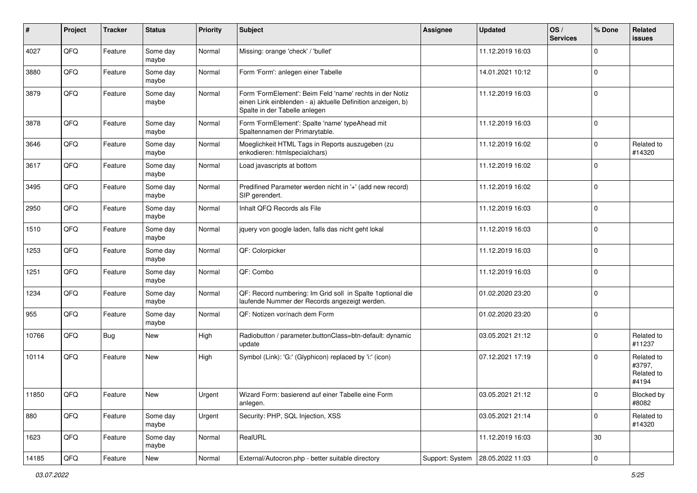| $\pmb{\#}$ | Project | <b>Tracker</b> | <b>Status</b>     | <b>Priority</b> | <b>Subject</b>                                                                                                                                           | <b>Assignee</b> | <b>Updated</b>                     | OS/<br><b>Services</b> | % Done      | Related<br><b>issues</b>                    |
|------------|---------|----------------|-------------------|-----------------|----------------------------------------------------------------------------------------------------------------------------------------------------------|-----------------|------------------------------------|------------------------|-------------|---------------------------------------------|
| 4027       | QFQ     | Feature        | Some day<br>maybe | Normal          | Missing: orange 'check' / 'bullet'                                                                                                                       |                 | 11.12.2019 16:03                   |                        | $\Omega$    |                                             |
| 3880       | QFQ     | Feature        | Some day<br>maybe | Normal          | Form 'Form': anlegen einer Tabelle                                                                                                                       |                 | 14.01.2021 10:12                   |                        | $\mathbf 0$ |                                             |
| 3879       | QFQ     | Feature        | Some day<br>maybe | Normal          | Form 'FormElement': Beim Feld 'name' rechts in der Notiz<br>einen Link einblenden - a) aktuelle Definition anzeigen, b)<br>Spalte in der Tabelle anlegen |                 | 11.12.2019 16:03                   |                        | $\Omega$    |                                             |
| 3878       | QFQ     | Feature        | Some day<br>maybe | Normal          | Form 'FormElement': Spalte 'name' typeAhead mit<br>Spaltennamen der Primarytable.                                                                        |                 | 11.12.2019 16:03                   |                        | $\Omega$    |                                             |
| 3646       | QFQ     | Feature        | Some day<br>maybe | Normal          | Moeglichkeit HTML Tags in Reports auszugeben (zu<br>enkodieren: htmlspecialchars)                                                                        |                 | 11.12.2019 16:02                   |                        | $\mathbf 0$ | Related to<br>#14320                        |
| 3617       | QFQ     | Feature        | Some day<br>maybe | Normal          | Load javascripts at bottom                                                                                                                               |                 | 11.12.2019 16:02                   |                        | $\Omega$    |                                             |
| 3495       | QFQ     | Feature        | Some day<br>maybe | Normal          | Predifined Parameter werden nicht in '+' (add new record)<br>SIP gerendert.                                                                              |                 | 11.12.2019 16:02                   |                        | $\Omega$    |                                             |
| 2950       | QFQ     | Feature        | Some day<br>maybe | Normal          | Inhalt QFQ Records als File                                                                                                                              |                 | 11.12.2019 16:03                   |                        | $\Omega$    |                                             |
| 1510       | QFQ     | Feature        | Some day<br>maybe | Normal          | jquery von google laden, falls das nicht geht lokal                                                                                                      |                 | 11.12.2019 16:03                   |                        | $\mathbf 0$ |                                             |
| 1253       | QFQ     | Feature        | Some day<br>maybe | Normal          | QF: Colorpicker                                                                                                                                          |                 | 11.12.2019 16:03                   |                        | $\mathbf 0$ |                                             |
| 1251       | QFQ     | Feature        | Some day<br>maybe | Normal          | QF: Combo                                                                                                                                                |                 | 11.12.2019 16:03                   |                        | $\Omega$    |                                             |
| 1234       | QFQ     | Feature        | Some day<br>maybe | Normal          | QF: Record numbering: Im Grid soll in Spalte 1 optional die<br>laufende Nummer der Records angezeigt werden.                                             |                 | 01.02.2020 23:20                   |                        | $\Omega$    |                                             |
| 955        | QFQ     | Feature        | Some day<br>maybe | Normal          | QF: Notizen vor/nach dem Form                                                                                                                            |                 | 01.02.2020 23:20                   |                        | $\Omega$    |                                             |
| 10766      | QFQ     | Bug            | New               | High            | Radiobutton / parameter.buttonClass=btn-default: dynamic<br>update                                                                                       |                 | 03.05.2021 21:12                   |                        | $\Omega$    | Related to<br>#11237                        |
| 10114      | QFQ     | Feature        | <b>New</b>        | High            | Symbol (Link): 'G:' (Glyphicon) replaced by 'i:' (icon)                                                                                                  |                 | 07.12.2021 17:19                   |                        | $\Omega$    | Related to<br>#3797,<br>Related to<br>#4194 |
| 11850      | QFQ     | Feature        | New               | Urgent          | Wizard Form: basierend auf einer Tabelle eine Form<br>anlegen.                                                                                           |                 | 03.05.2021 21:12                   |                        |             | Blocked by<br>#8082                         |
| 880        | QFQ     | Feature        | Some day<br>maybe | Urgent          | Security: PHP, SQL Injection, XSS                                                                                                                        |                 | 03.05.2021 21:14                   |                        | $\mathbf 0$ | Related to<br>#14320                        |
| 1623       | QFQ     | Feature        | Some day<br>maybe | Normal          | RealURL                                                                                                                                                  |                 | 11.12.2019 16:03                   |                        | 30          |                                             |
| 14185      | QFQ     | Feature        | New               | Normal          | External/Autocron.php - better suitable directory                                                                                                        |                 | Support: System   28.05.2022 11:03 |                        | 0           |                                             |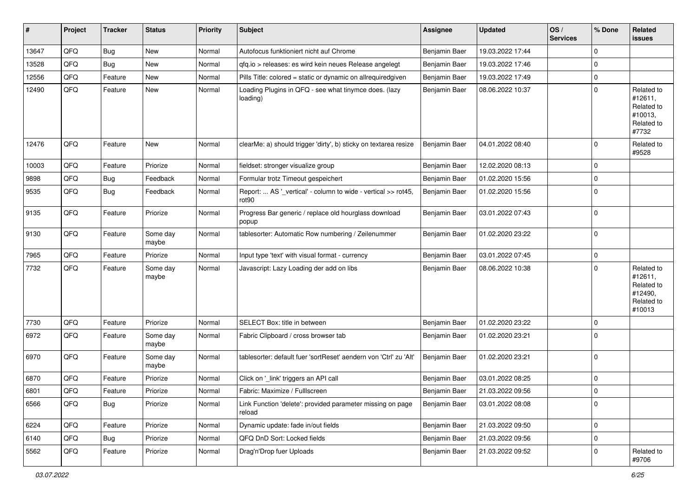| ∦     | Project | <b>Tracker</b> | <b>Status</b>     | <b>Priority</b> | Subject                                                                            | <b>Assignee</b> | <b>Updated</b>   | OS/<br><b>Services</b> | % Done      | Related<br>issues                                                      |
|-------|---------|----------------|-------------------|-----------------|------------------------------------------------------------------------------------|-----------------|------------------|------------------------|-------------|------------------------------------------------------------------------|
| 13647 | QFQ     | <b>Bug</b>     | <b>New</b>        | Normal          | Autofocus funktioniert nicht auf Chrome                                            | Benjamin Baer   | 19.03.2022 17:44 |                        | $\Omega$    |                                                                        |
| 13528 | QFQ     | Bug            | <b>New</b>        | Normal          | gfg.io > releases: es wird kein neues Release angelegt                             | Benjamin Baer   | 19.03.2022 17:46 |                        | 0           |                                                                        |
| 12556 | QFQ     | Feature        | <b>New</b>        | Normal          | Pills Title: colored = static or dynamic on allrequiredgiven                       | Benjamin Baer   | 19.03.2022 17:49 |                        | $\Omega$    |                                                                        |
| 12490 | QFQ     | Feature        | New               | Normal          | Loading Plugins in QFQ - see what tinymce does. (lazy<br>loading)                  | Benjamin Baer   | 08.06.2022 10:37 |                        | $\Omega$    | Related to<br>#12611,<br>Related to<br>#10013,<br>Related to<br>#7732  |
| 12476 | QFQ     | Feature        | <b>New</b>        | Normal          | clearMe: a) should trigger 'dirty', b) sticky on textarea resize                   | Benjamin Baer   | 04.01.2022 08:40 |                        | $\Omega$    | Related to<br>#9528                                                    |
| 10003 | QFQ     | Feature        | Priorize          | Normal          | fieldset: stronger visualize group                                                 | Benjamin Baer   | 12.02.2020 08:13 |                        | $\Omega$    |                                                                        |
| 9898  | QFQ     | Bug            | Feedback          | Normal          | Formular trotz Timeout gespeichert                                                 | Benjamin Baer   | 01.02.2020 15:56 |                        | $\Omega$    |                                                                        |
| 9535  | QFQ     | Bug            | Feedback          | Normal          | Report:  AS '_vertical' - column to wide - vertical >> rot45,<br>rot <sub>90</sub> | Benjamin Baer   | 01.02.2020 15:56 |                        | $\mathbf 0$ |                                                                        |
| 9135  | QFQ     | Feature        | Priorize          | Normal          | Progress Bar generic / replace old hourglass download<br>popup                     | Benjamin Baer   | 03.01.2022 07:43 |                        | $\Omega$    |                                                                        |
| 9130  | QFQ     | Feature        | Some day<br>maybe | Normal          | tablesorter: Automatic Row numbering / Zeilenummer                                 | Benjamin Baer   | 01.02.2020 23:22 |                        | $\Omega$    |                                                                        |
| 7965  | QFQ     | Feature        | Priorize          | Normal          | Input type 'text' with visual format - currency                                    | Benjamin Baer   | 03.01.2022 07:45 |                        | $\mathbf 0$ |                                                                        |
| 7732  | QFQ     | Feature        | Some day<br>maybe | Normal          | Javascript: Lazy Loading der add on libs                                           | Benjamin Baer   | 08.06.2022 10:38 |                        | $\Omega$    | Related to<br>#12611,<br>Related to<br>#12490,<br>Related to<br>#10013 |
| 7730  | QFQ     | Feature        | Priorize          | Normal          | SELECT Box: title in between                                                       | Benjamin Baer   | 01.02.2020 23:22 |                        | $\mathbf 0$ |                                                                        |
| 6972  | QFQ     | Feature        | Some day<br>maybe | Normal          | Fabric Clipboard / cross browser tab                                               | Benjamin Baer   | 01.02.2020 23:21 |                        | $\Omega$    |                                                                        |
| 6970  | QFQ     | Feature        | Some day<br>maybe | Normal          | tablesorter: default fuer 'sortReset' aendern von 'Ctrl' zu 'Alt'                  | Benjamin Baer   | 01.02.2020 23:21 |                        | $\Omega$    |                                                                        |
| 6870  | QFQ     | Feature        | Priorize          | Normal          | Click on '_link' triggers an API call                                              | Benjamin Baer   | 03.01.2022 08:25 |                        | $\mathbf 0$ |                                                                        |
| 6801  | QFQ     | Feature        | Priorize          | Normal          | Fabric: Maximize / FullIscreen                                                     | Benjamin Baer   | 21.03.2022 09:56 |                        | $\Omega$    |                                                                        |
| 6566  | QFQ     | Bug            | Priorize          | Normal          | Link Function 'delete': provided parameter missing on page<br>reload               | Benjamin Baer   | 03.01.2022 08:08 |                        | $\mathbf 0$ |                                                                        |
| 6224  | QFQ     | Feature        | Priorize          | Normal          | Dynamic update: fade in/out fields                                                 | Benjamin Baer   | 21.03.2022 09:50 |                        | $\mathbf 0$ |                                                                        |
| 6140  | QFQ     | <b>Bug</b>     | Priorize          | Normal          | QFQ DnD Sort: Locked fields                                                        | Benjamin Baer   | 21.03.2022 09:56 |                        | $\mathbf 0$ |                                                                        |
| 5562  | QFQ     | Feature        | Priorize          | Normal          | Drag'n'Drop fuer Uploads                                                           | Benjamin Baer   | 21.03.2022 09:52 |                        | 0           | Related to<br>#9706                                                    |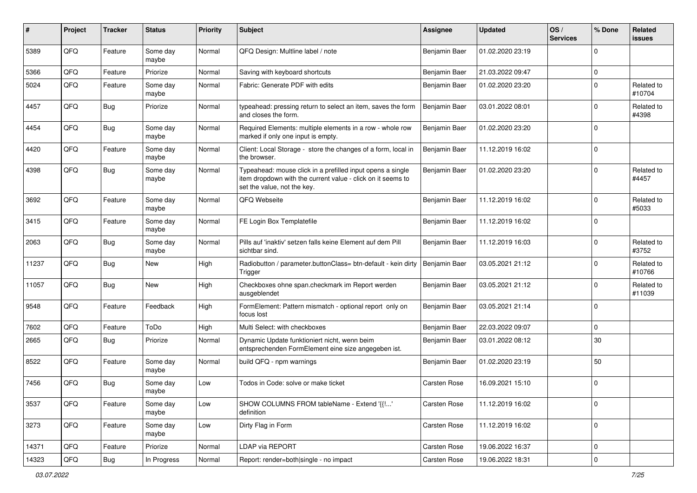| #     | Project | <b>Tracker</b> | <b>Status</b>     | <b>Priority</b> | <b>Subject</b>                                                                                                                                           | <b>Assignee</b>     | <b>Updated</b>   | OS/<br><b>Services</b> | % Done      | Related<br><b>issues</b> |
|-------|---------|----------------|-------------------|-----------------|----------------------------------------------------------------------------------------------------------------------------------------------------------|---------------------|------------------|------------------------|-------------|--------------------------|
| 5389  | QFQ     | Feature        | Some day<br>maybe | Normal          | QFQ Design: Multline label / note                                                                                                                        | Benjamin Baer       | 01.02.2020 23:19 |                        | O           |                          |
| 5366  | QFQ     | Feature        | Priorize          | Normal          | Saving with keyboard shortcuts                                                                                                                           | Benjamin Baer       | 21.03.2022 09:47 |                        | $\mathbf 0$ |                          |
| 5024  | QFQ     | Feature        | Some day<br>maybe | Normal          | Fabric: Generate PDF with edits                                                                                                                          | Benjamin Baer       | 01.02.2020 23:20 |                        | $\Omega$    | Related to<br>#10704     |
| 4457  | QFQ     | Bug            | Priorize          | Normal          | typeahead: pressing return to select an item, saves the form<br>and closes the form.                                                                     | Benjamin Baer       | 03.01.2022 08:01 |                        | $\Omega$    | Related to<br>#4398      |
| 4454  | QFQ     | Bug            | Some day<br>maybe | Normal          | Required Elements: multiple elements in a row - whole row<br>marked if only one input is empty.                                                          | Benjamin Baer       | 01.02.2020 23:20 |                        | $\Omega$    |                          |
| 4420  | QFQ     | Feature        | Some day<br>maybe | Normal          | Client: Local Storage - store the changes of a form, local in<br>the browser.                                                                            | Benjamin Baer       | 11.12.2019 16:02 |                        | $\Omega$    |                          |
| 4398  | QFQ     | <b>Bug</b>     | Some day<br>maybe | Normal          | Typeahead: mouse click in a prefilled input opens a single<br>item dropdown with the current value - click on it seems to<br>set the value, not the key. | Benjamin Baer       | 01.02.2020 23:20 |                        | $\Omega$    | Related to<br>#4457      |
| 3692  | QFQ     | Feature        | Some day<br>maybe | Normal          | QFQ Webseite                                                                                                                                             | Benjamin Baer       | 11.12.2019 16:02 |                        | $\Omega$    | Related to<br>#5033      |
| 3415  | QFQ     | Feature        | Some day<br>maybe | Normal          | FE Login Box Templatefile                                                                                                                                | Benjamin Baer       | 11.12.2019 16:02 |                        | 0           |                          |
| 2063  | QFQ     | Bug            | Some day<br>maybe | Normal          | Pills auf 'inaktiv' setzen falls keine Element auf dem Pill<br>sichtbar sind.                                                                            | Benjamin Baer       | 11.12.2019 16:03 |                        | 0           | Related to<br>#3752      |
| 11237 | QFQ     | <b>Bug</b>     | <b>New</b>        | High            | Radiobutton / parameter.buttonClass= btn-default - kein dirty<br>Trigger                                                                                 | Benjamin Baer       | 03.05.2021 21:12 |                        | $\Omega$    | Related to<br>#10766     |
| 11057 | QFQ     | <b>Bug</b>     | <b>New</b>        | High            | Checkboxes ohne span.checkmark im Report werden<br>ausgeblendet                                                                                          | Benjamin Baer       | 03.05.2021 21:12 |                        | $\Omega$    | Related to<br>#11039     |
| 9548  | QFQ     | Feature        | Feedback          | High            | FormElement: Pattern mismatch - optional report only on<br>focus lost                                                                                    | Benjamin Baer       | 03.05.2021 21:14 |                        | $\Omega$    |                          |
| 7602  | QFQ     | Feature        | ToDo              | High            | Multi Select: with checkboxes                                                                                                                            | Benjamin Baer       | 22.03.2022 09:07 |                        | 0           |                          |
| 2665  | QFQ     | Bug            | Priorize          | Normal          | Dynamic Update funktioniert nicht, wenn beim<br>entsprechenden FormElement eine size angegeben ist.                                                      | Benjamin Baer       | 03.01.2022 08:12 |                        | 30          |                          |
| 8522  | QFQ     | Feature        | Some day<br>maybe | Normal          | build QFQ - npm warnings                                                                                                                                 | Benjamin Baer       | 01.02.2020 23:19 |                        | 50          |                          |
| 7456  | QFQ     | <b>Bug</b>     | Some day<br>maybe | Low             | Todos in Code: solve or make ticket                                                                                                                      | <b>Carsten Rose</b> | 16.09.2021 15:10 |                        | $\mathbf 0$ |                          |
| 3537  | QFQ     | Feature        | Some day<br>maybe | Low             | SHOW COLUMNS FROM tableName - Extend '{{!'<br>definition                                                                                                 | Carsten Rose        | 11.12.2019 16:02 |                        | $\mathbf 0$ |                          |
| 3273  | QFQ     | Feature        | Some day<br>maybe | Low             | Dirty Flag in Form                                                                                                                                       | Carsten Rose        | 11.12.2019 16:02 |                        | $\mathbf 0$ |                          |
| 14371 | QFQ     | Feature        | Priorize          | Normal          | <b>LDAP via REPORT</b>                                                                                                                                   | Carsten Rose        | 19.06.2022 16:37 |                        | 0           |                          |
| 14323 | QFG     | <b>Bug</b>     | In Progress       | Normal          | Report: render=both single - no impact                                                                                                                   | Carsten Rose        | 19.06.2022 18:31 |                        | $\mathbf 0$ |                          |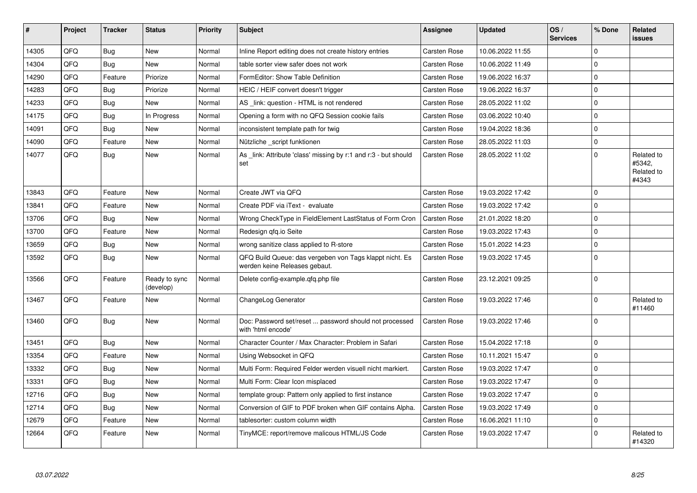| #     | Project | <b>Tracker</b> | <b>Status</b>              | <b>Priority</b> | <b>Subject</b>                                                                           | Assignee            | <b>Updated</b>   | OS/<br><b>Services</b> | % Done       | Related<br>issues                           |
|-------|---------|----------------|----------------------------|-----------------|------------------------------------------------------------------------------------------|---------------------|------------------|------------------------|--------------|---------------------------------------------|
| 14305 | QFQ     | Bug            | <b>New</b>                 | Normal          | Inline Report editing does not create history entries                                    | <b>Carsten Rose</b> | 10.06.2022 11:55 |                        | <sup>0</sup> |                                             |
| 14304 | QFQ     | Bug            | <b>New</b>                 | Normal          | table sorter view safer does not work                                                    | Carsten Rose        | 10.06.2022 11:49 |                        | $\Omega$     |                                             |
| 14290 | QFQ     | Feature        | Priorize                   | Normal          | FormEditor: Show Table Definition                                                        | <b>Carsten Rose</b> | 19.06.2022 16:37 |                        | $\Omega$     |                                             |
| 14283 | QFQ     | Bug            | Priorize                   | Normal          | HEIC / HEIF convert doesn't trigger                                                      | <b>Carsten Rose</b> | 19.06.2022 16:37 |                        | $\Omega$     |                                             |
| 14233 | QFQ     | <b>Bug</b>     | <b>New</b>                 | Normal          | AS _link: question - HTML is not rendered                                                | Carsten Rose        | 28.05.2022 11:02 |                        | $\Omega$     |                                             |
| 14175 | QFQ     | <b>Bug</b>     | In Progress                | Normal          | Opening a form with no QFQ Session cookie fails                                          | <b>Carsten Rose</b> | 03.06.2022 10:40 |                        | $\Omega$     |                                             |
| 14091 | QFQ     | Bug            | <b>New</b>                 | Normal          | inconsistent template path for twig                                                      | Carsten Rose        | 19.04.2022 18:36 |                        | $\Omega$     |                                             |
| 14090 | QFQ     | Feature        | <b>New</b>                 | Normal          | Nützliche _script funktionen                                                             | Carsten Rose        | 28.05.2022 11:03 |                        | $\Omega$     |                                             |
| 14077 | QFQ     | Bug            | <b>New</b>                 | Normal          | As link: Attribute 'class' missing by r:1 and r:3 - but should<br>set                    | Carsten Rose        | 28.05.2022 11:02 |                        | $\Omega$     | Related to<br>#5342.<br>Related to<br>#4343 |
| 13843 | QFQ     | Feature        | <b>New</b>                 | Normal          | Create JWT via QFQ                                                                       | <b>Carsten Rose</b> | 19.03.2022 17:42 |                        | $\Omega$     |                                             |
| 13841 | QFQ     | Feature        | <b>New</b>                 | Normal          | Create PDF via iText - evaluate                                                          | Carsten Rose        | 19.03.2022 17:42 |                        | $\Omega$     |                                             |
| 13706 | QFQ     | <b>Bug</b>     | <b>New</b>                 | Normal          | Wrong CheckType in FieldElement LastStatus of Form Cron                                  | <b>Carsten Rose</b> | 21.01.2022 18:20 |                        | $\Omega$     |                                             |
| 13700 | QFQ     | Feature        | <b>New</b>                 | Normal          | Redesign gfg.io Seite                                                                    | Carsten Rose        | 19.03.2022 17:43 |                        | $\Omega$     |                                             |
| 13659 | QFQ     | <b>Bug</b>     | <b>New</b>                 | Normal          | wrong sanitize class applied to R-store                                                  | Carsten Rose        | 15.01.2022 14:23 |                        | $\Omega$     |                                             |
| 13592 | QFQ     | Bug            | New                        | Normal          | QFQ Build Queue: das vergeben von Tags klappt nicht. Es<br>werden keine Releases gebaut. | Carsten Rose        | 19.03.2022 17:45 |                        | $\Omega$     |                                             |
| 13566 | QFQ     | Feature        | Ready to sync<br>(develop) | Normal          | Delete config-example.qfq.php file                                                       | Carsten Rose        | 23.12.2021 09:25 |                        | $\Omega$     |                                             |
| 13467 | QFQ     | Feature        | <b>New</b>                 | Normal          | ChangeLog Generator                                                                      | Carsten Rose        | 19.03.2022 17:46 |                        | <sup>0</sup> | Related to<br>#11460                        |
| 13460 | QFQ     | Bug            | <b>New</b>                 | Normal          | Doc: Password set/reset  password should not processed<br>with 'html encode'             | <b>Carsten Rose</b> | 19.03.2022 17:46 |                        | $\Omega$     |                                             |
| 13451 | QFQ     | <b>Bug</b>     | <b>New</b>                 | Normal          | Character Counter / Max Character: Problem in Safari                                     | Carsten Rose        | 15.04.2022 17:18 |                        | $\Omega$     |                                             |
| 13354 | QFQ     | Feature        | <b>New</b>                 | Normal          | Using Websocket in QFQ                                                                   | <b>Carsten Rose</b> | 10.11.2021 15:47 |                        | $\Omega$     |                                             |
| 13332 | QFQ     | <b>Bug</b>     | <b>New</b>                 | Normal          | Multi Form: Required Felder werden visuell nicht markiert.                               | Carsten Rose        | 19.03.2022 17:47 |                        | $\Omega$     |                                             |
| 13331 | QFQ     | <b>Bug</b>     | <b>New</b>                 | Normal          | Multi Form: Clear Icon misplaced                                                         | Carsten Rose        | 19.03.2022 17:47 |                        | $\Omega$     |                                             |
| 12716 | QFQ     | <b>Bug</b>     | <b>New</b>                 | Normal          | template group: Pattern only applied to first instance                                   | Carsten Rose        | 19.03.2022 17:47 |                        | $\mathbf 0$  |                                             |
| 12714 | QFQ     | Bug            | <b>New</b>                 | Normal          | Conversion of GIF to PDF broken when GIF contains Alpha.                                 | <b>Carsten Rose</b> | 19.03.2022 17:49 |                        | $\Omega$     |                                             |
| 12679 | QFQ     | Feature        | <b>New</b>                 | Normal          | tablesorter: custom column width                                                         | Carsten Rose        | 16.06.2021 11:10 |                        | $\Omega$     |                                             |
| 12664 | QFQ     | Feature        | New                        | Normal          | TinyMCE: report/remove malicous HTML/JS Code                                             | <b>Carsten Rose</b> | 19.03.2022 17:47 |                        | $\Omega$     | Related to<br>#14320                        |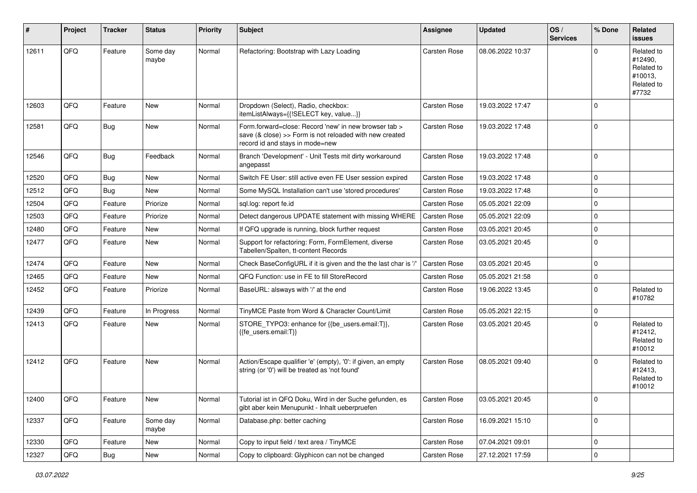| $\sharp$ | Project | <b>Tracker</b> | <b>Status</b>     | <b>Priority</b> | <b>Subject</b>                                                                                                                                      | <b>Assignee</b>     | <b>Updated</b>   | OS/<br><b>Services</b> | % Done      | Related<br><b>issues</b>                                              |
|----------|---------|----------------|-------------------|-----------------|-----------------------------------------------------------------------------------------------------------------------------------------------------|---------------------|------------------|------------------------|-------------|-----------------------------------------------------------------------|
| 12611    | QFQ     | Feature        | Some day<br>maybe | Normal          | Refactoring: Bootstrap with Lazy Loading                                                                                                            | <b>Carsten Rose</b> | 08.06.2022 10:37 |                        | $\Omega$    | Related to<br>#12490,<br>Related to<br>#10013,<br>Related to<br>#7732 |
| 12603    | QFQ     | Feature        | <b>New</b>        | Normal          | Dropdown (Select), Radio, checkbox:<br>itemListAlways={{!SELECT key, value}}                                                                        | <b>Carsten Rose</b> | 19.03.2022 17:47 |                        | $\Omega$    |                                                                       |
| 12581    | QFQ     | Bug            | <b>New</b>        | Normal          | Form.forward=close: Record 'new' in new browser tab ><br>save (& close) >> Form is not reloaded with new created<br>record id and stays in mode=new | <b>Carsten Rose</b> | 19.03.2022 17:48 |                        | 0           |                                                                       |
| 12546    | QFQ     | <b>Bug</b>     | Feedback          | Normal          | Branch 'Development' - Unit Tests mit dirty workaround<br>angepasst                                                                                 | <b>Carsten Rose</b> | 19.03.2022 17:48 |                        | 0           |                                                                       |
| 12520    | QFQ     | <b>Bug</b>     | <b>New</b>        | Normal          | Switch FE User: still active even FE User session expired                                                                                           | Carsten Rose        | 19.03.2022 17:48 |                        | $\Omega$    |                                                                       |
| 12512    | QFQ     | <b>Bug</b>     | <b>New</b>        | Normal          | Some MySQL Installation can't use 'stored procedures'                                                                                               | <b>Carsten Rose</b> | 19.03.2022 17:48 |                        | $\mathbf 0$ |                                                                       |
| 12504    | QFQ     | Feature        | Priorize          | Normal          | sql.log: report fe.id                                                                                                                               | <b>Carsten Rose</b> | 05.05.2021 22:09 |                        | $\mathbf 0$ |                                                                       |
| 12503    | QFQ     | Feature        | Priorize          | Normal          | Detect dangerous UPDATE statement with missing WHERE                                                                                                | <b>Carsten Rose</b> | 05.05.2021 22:09 |                        | $\mathbf 0$ |                                                                       |
| 12480    | QFQ     | Feature        | <b>New</b>        | Normal          | If QFQ upgrade is running, block further request                                                                                                    | <b>Carsten Rose</b> | 03.05.2021 20:45 |                        | $\mathbf 0$ |                                                                       |
| 12477    | QFQ     | Feature        | New               | Normal          | Support for refactoring: Form, FormElement, diverse<br>Tabellen/Spalten, tt-content Records                                                         | Carsten Rose        | 03.05.2021 20:45 |                        | $\Omega$    |                                                                       |
| 12474    | QFQ     | Feature        | New               | Normal          | Check BaseConfigURL if it is given and the the last char is '/'                                                                                     | <b>Carsten Rose</b> | 03.05.2021 20:45 |                        | $\mathbf 0$ |                                                                       |
| 12465    | QFQ     | Feature        | New               | Normal          | QFQ Function: use in FE to fill StoreRecord                                                                                                         | <b>Carsten Rose</b> | 05.05.2021 21:58 |                        | $\Omega$    |                                                                       |
| 12452    | QFQ     | Feature        | Priorize          | Normal          | BaseURL: alsways with '/' at the end                                                                                                                | <b>Carsten Rose</b> | 19.06.2022 13:45 |                        | $\Omega$    | Related to<br>#10782                                                  |
| 12439    | QFQ     | Feature        | In Progress       | Normal          | TinyMCE Paste from Word & Character Count/Limit                                                                                                     | Carsten Rose        | 05.05.2021 22:15 |                        | 0           |                                                                       |
| 12413    | QFQ     | Feature        | New               | Normal          | STORE_TYPO3: enhance for {{be_users.email:T}},<br>{{fe users.email:T}}                                                                              | <b>Carsten Rose</b> | 03.05.2021 20:45 |                        | $\Omega$    | Related to<br>#12412,<br>Related to<br>#10012                         |
| 12412    | QFQ     | Feature        | <b>New</b>        | Normal          | Action/Escape qualifier 'e' (empty), '0': if given, an empty<br>string (or '0') will be treated as 'not found'                                      | <b>Carsten Rose</b> | 08.05.2021 09:40 |                        | $\Omega$    | Related to<br>#12413,<br>Related to<br>#10012                         |
| 12400    | QFQ     | Feature        | New               | Normal          | Tutorial ist in QFQ Doku, Wird in der Suche gefunden, es<br>gibt aber kein Menupunkt - Inhalt ueberpruefen                                          | <b>Carsten Rose</b> | 03.05.2021 20:45 |                        | 0           |                                                                       |
| 12337    | QFQ     | Feature        | Some day<br>maybe | Normal          | Database.php: better caching                                                                                                                        | Carsten Rose        | 16.09.2021 15:10 |                        | $\Omega$    |                                                                       |
| 12330    | QFQ     | Feature        | New               | Normal          | Copy to input field / text area / TinyMCE                                                                                                           | Carsten Rose        | 07.04.2021 09:01 |                        | $\mathbf 0$ |                                                                       |
| 12327    | QFQ     | Bug            | New               | Normal          | Copy to clipboard: Glyphicon can not be changed                                                                                                     | Carsten Rose        | 27.12.2021 17:59 |                        | 0           |                                                                       |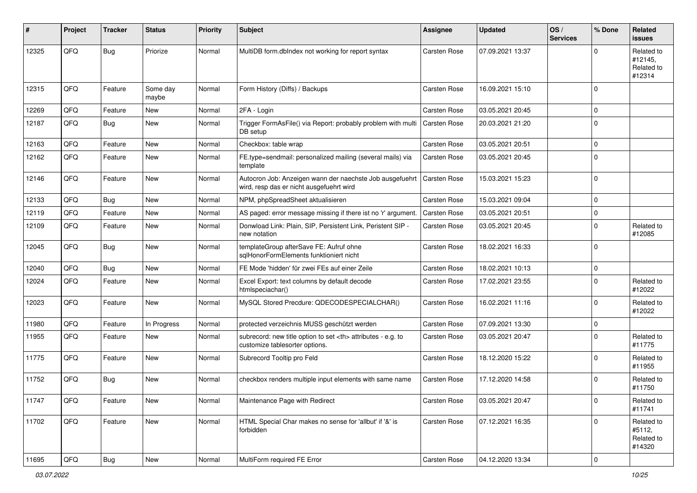| #     | Project | <b>Tracker</b> | <b>Status</b>     | <b>Priority</b> | Subject                                                                                              | <b>Assignee</b>                                        | <b>Updated</b>      | OS/<br><b>Services</b> | % Done      | <b>Related</b><br>issues                      |                      |
|-------|---------|----------------|-------------------|-----------------|------------------------------------------------------------------------------------------------------|--------------------------------------------------------|---------------------|------------------------|-------------|-----------------------------------------------|----------------------|
| 12325 | QFQ     | <b>Bug</b>     | Priorize          | Normal          | MultiDB form.dbIndex not working for report syntax                                                   | Carsten Rose                                           | 07.09.2021 13:37    |                        | 0           | Related to<br>#12145,<br>Related to<br>#12314 |                      |
| 12315 | QFQ     | Feature        | Some day<br>maybe | Normal          | Form History (Diffs) / Backups                                                                       | <b>Carsten Rose</b>                                    | 16.09.2021 15:10    |                        | $\Omega$    |                                               |                      |
| 12269 | QFQ     | Feature        | <b>New</b>        | Normal          | 2FA - Login                                                                                          | <b>Carsten Rose</b>                                    | 03.05.2021 20:45    |                        | 0           |                                               |                      |
| 12187 | QFQ     | Bug            | New               | Normal          | Trigger FormAsFile() via Report: probably problem with multi<br>DB setup                             | <b>Carsten Rose</b>                                    | 20.03.2021 21:20    |                        | $\Omega$    |                                               |                      |
| 12163 | QFQ     | Feature        | <b>New</b>        | Normal          | Checkbox: table wrap                                                                                 | <b>Carsten Rose</b>                                    | 03.05.2021 20:51    |                        | $\mathbf 0$ |                                               |                      |
| 12162 | QFQ     | Feature        | New               | Normal          | FE.type=sendmail: personalized mailing (several mails) via<br>template                               | <b>Carsten Rose</b>                                    | 03.05.2021 20:45    |                        | $\Omega$    |                                               |                      |
| 12146 | QFQ     | Feature        | New               | Normal          | Autocron Job: Anzeigen wann der naechste Job ausgefuehrt<br>wird, resp das er nicht ausgefuehrt wird | <b>Carsten Rose</b>                                    | 15.03.2021 15:23    |                        | $\Omega$    |                                               |                      |
| 12133 | QFQ     | Bug            | <b>New</b>        | Normal          | NPM, phpSpreadSheet aktualisieren                                                                    | <b>Carsten Rose</b>                                    | 15.03.2021 09:04    |                        | $\mathbf 0$ |                                               |                      |
| 12119 | QFQ     | Feature        | <b>New</b>        | Normal          | AS paged: error message missing if there ist no 'r' argument.                                        | <b>Carsten Rose</b>                                    | 03.05.2021 20:51    |                        | 0           |                                               |                      |
| 12109 | QFQ     | Feature        | <b>New</b>        | Normal          | Donwload Link: Plain, SIP, Persistent Link, Peristent SIP -<br>new notation                          | <b>Carsten Rose</b>                                    | 03.05.2021 20:45    |                        | 0           | Related to<br>#12085                          |                      |
| 12045 | QFQ     | Bug            | <b>New</b>        | Normal          | templateGroup afterSave FE: Aufruf ohne<br>salHonorFormElements funktioniert nicht                   | Carsten Rose                                           | 18.02.2021 16:33    |                        | $\Omega$    |                                               |                      |
| 12040 | QFQ     | Bug            | <b>New</b>        | Normal          | FE Mode 'hidden' für zwei FEs auf einer Zeile                                                        | <b>Carsten Rose</b>                                    | 18.02.2021 10:13    |                        | $\Omega$    |                                               |                      |
| 12024 | QFQ     | Feature        | New               | Normal          | Excel Export: text columns by default decode<br>htmlspeciachar()                                     | <b>Carsten Rose</b>                                    | 17.02.2021 23:55    |                        | $\mathbf 0$ | Related to<br>#12022                          |                      |
| 12023 | QFQ     | Feature        | <b>New</b>        | Normal          | MySQL Stored Precdure: QDECODESPECIALCHAR()                                                          | <b>Carsten Rose</b>                                    | 16.02.2021 11:16    |                        | 0           | Related to<br>#12022                          |                      |
| 11980 | QFQ     | Feature        | In Progress       | Normal          | protected verzeichnis MUSS geschützt werden                                                          | <b>Carsten Rose</b>                                    | 07.09.2021 13:30    |                        | 0           |                                               |                      |
| 11955 | QFQ     | Feature        | <b>New</b>        | Normal          | subrecord: new title option to set <th> attributes - e.g. to<br/>customize tablesorter options.</th> | attributes - e.g. to<br>customize tablesorter options. | <b>Carsten Rose</b> | 03.05.2021 20:47       |             | 0                                             | Related to<br>#11775 |
| 11775 | QFQ     | Feature        | <b>New</b>        | Normal          | Subrecord Tooltip pro Feld                                                                           | Carsten Rose                                           | 18.12.2020 15:22    |                        | $\Omega$    | Related to<br>#11955                          |                      |
| 11752 | QFQ     | <b>Bug</b>     | <b>New</b>        | Normal          | checkbox renders multiple input elements with same name                                              | <b>Carsten Rose</b>                                    | 17.12.2020 14:58    |                        | 0           | Related to<br>#11750                          |                      |
| 11747 | QFQ     | Feature        | New               | Normal          | Maintenance Page with Redirect                                                                       | Carsten Rose                                           | 03.05.2021 20:47    |                        | 0           | Related to<br>#11741                          |                      |
| 11702 | QFQ     | Feature        | New               | Normal          | HTML Special Char makes no sense for 'allbut' if '&' is<br>forbidden                                 | Carsten Rose                                           | 07.12.2021 16:35    |                        | $\Omega$    | Related to<br>#5112,<br>Related to<br>#14320  |                      |
| 11695 | QFQ     | Bug            | New               | Normal          | MultiForm required FE Error                                                                          | Carsten Rose                                           | 04.12.2020 13:34    |                        | $\mathbf 0$ |                                               |                      |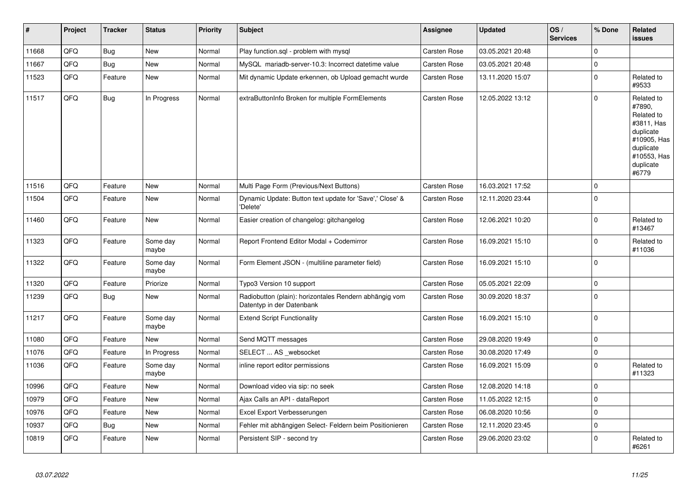| $\vert$ # | Project | <b>Tracker</b> | <b>Status</b>     | <b>Priority</b> | <b>Subject</b>                                                                      | Assignee            | <b>Updated</b>   | OS/<br><b>Services</b> | % Done      | Related<br>issues                                                                                                              |
|-----------|---------|----------------|-------------------|-----------------|-------------------------------------------------------------------------------------|---------------------|------------------|------------------------|-------------|--------------------------------------------------------------------------------------------------------------------------------|
| 11668     | QFQ     | <b>Bug</b>     | <b>New</b>        | Normal          | Play function.sql - problem with mysql                                              | <b>Carsten Rose</b> | 03.05.2021 20:48 |                        | $\Omega$    |                                                                                                                                |
| 11667     | QFQ     | <b>Bug</b>     | <b>New</b>        | Normal          | MySQL mariadb-server-10.3: Incorrect datetime value                                 | <b>Carsten Rose</b> | 03.05.2021 20:48 |                        | $\mathbf 0$ |                                                                                                                                |
| 11523     | QFQ     | Feature        | <b>New</b>        | Normal          | Mit dynamic Update erkennen, ob Upload gemacht wurde                                | Carsten Rose        | 13.11.2020 15:07 |                        | $\mathbf 0$ | Related to<br>#9533                                                                                                            |
| 11517     | QFQ     | Bug            | In Progress       | Normal          | extraButtonInfo Broken for multiple FormElements                                    | <b>Carsten Rose</b> | 12.05.2022 13:12 |                        | $\mathbf 0$ | Related to<br>#7890,<br>Related to<br>#3811, Has<br>duplicate<br>#10905, Has<br>duplicate<br>#10553, Has<br>duplicate<br>#6779 |
| 11516     | QFQ     | Feature        | <b>New</b>        | Normal          | Multi Page Form (Previous/Next Buttons)                                             | <b>Carsten Rose</b> | 16.03.2021 17:52 |                        | $\mathbf 0$ |                                                                                                                                |
| 11504     | QFQ     | Feature        | <b>New</b>        | Normal          | Dynamic Update: Button text update for 'Save',' Close' &<br>'Delete'                | <b>Carsten Rose</b> | 12.11.2020 23:44 |                        | $\mathbf 0$ |                                                                                                                                |
| 11460     | QFQ     | Feature        | <b>New</b>        | Normal          | Easier creation of changelog: gitchangelog                                          | <b>Carsten Rose</b> | 12.06.2021 10:20 |                        | $\mathbf 0$ | Related to<br>#13467                                                                                                           |
| 11323     | QFQ     | Feature        | Some day<br>maybe | Normal          | Report Frontend Editor Modal + Codemirror                                           | <b>Carsten Rose</b> | 16.09.2021 15:10 |                        | $\mathbf 0$ | Related to<br>#11036                                                                                                           |
| 11322     | QFQ     | Feature        | Some day<br>maybe | Normal          | Form Element JSON - (multiline parameter field)                                     | Carsten Rose        | 16.09.2021 15:10 |                        | $\mathbf 0$ |                                                                                                                                |
| 11320     | QFQ     | Feature        | Priorize          | Normal          | Typo3 Version 10 support                                                            | <b>Carsten Rose</b> | 05.05.2021 22:09 |                        | $\pmb{0}$   |                                                                                                                                |
| 11239     | QFQ     | Bug            | New               | Normal          | Radiobutton (plain): horizontales Rendern abhängig vom<br>Datentyp in der Datenbank | Carsten Rose        | 30.09.2020 18:37 |                        | $\mathbf 0$ |                                                                                                                                |
| 11217     | QFQ     | Feature        | Some day<br>maybe | Normal          | <b>Extend Script Functionality</b>                                                  | <b>Carsten Rose</b> | 16.09.2021 15:10 |                        | $\mathbf 0$ |                                                                                                                                |
| 11080     | QFQ     | Feature        | <b>New</b>        | Normal          | Send MQTT messages                                                                  | <b>Carsten Rose</b> | 29.08.2020 19:49 |                        | $\mathbf 0$ |                                                                                                                                |
| 11076     | QFQ     | Feature        | In Progress       | Normal          | SELECT  AS _websocket                                                               | <b>Carsten Rose</b> | 30.08.2020 17:49 |                        | $\mathbf 0$ |                                                                                                                                |
| 11036     | QFQ     | Feature        | Some day<br>maybe | Normal          | inline report editor permissions                                                    | Carsten Rose        | 16.09.2021 15:09 |                        | $\mathbf 0$ | Related to<br>#11323                                                                                                           |
| 10996     | QFQ     | Feature        | <b>New</b>        | Normal          | Download video via sip: no seek                                                     | <b>Carsten Rose</b> | 12.08.2020 14:18 |                        | $\mathbf 0$ |                                                                                                                                |
| 10979     | QFQ     | Feature        | <b>New</b>        | Normal          | Ajax Calls an API - dataReport                                                      | <b>Carsten Rose</b> | 11.05.2022 12:15 |                        | $\Omega$    |                                                                                                                                |
| 10976     | QFQ     | Feature        | <b>New</b>        | Normal          | Excel Export Verbesserungen                                                         | <b>Carsten Rose</b> | 06.08.2020 10:56 |                        | $\mathbf 0$ |                                                                                                                                |
| 10937     | QFQ     | <b>Bug</b>     | <b>New</b>        | Normal          | Fehler mit abhängigen Select- Feldern beim Positionieren                            | Carsten Rose        | 12.11.2020 23:45 |                        | $\mathbf 0$ |                                                                                                                                |
| 10819     | QFQ     | Feature        | <b>New</b>        | Normal          | Persistent SIP - second try                                                         | <b>Carsten Rose</b> | 29.06.2020 23:02 |                        | $\mathbf 0$ | Related to<br>#6261                                                                                                            |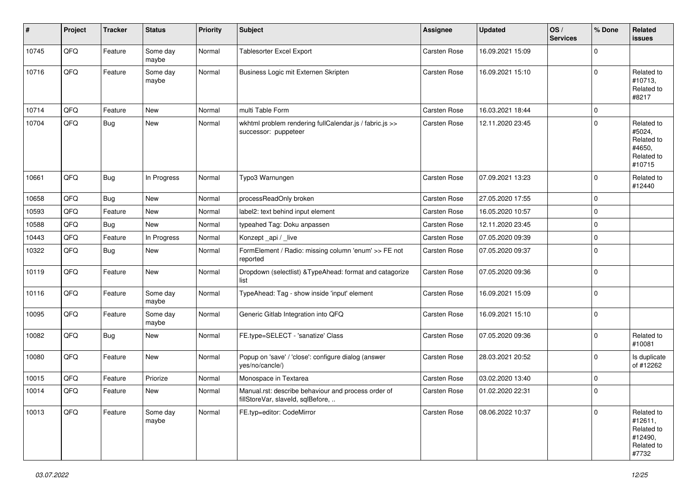| #     | Project | <b>Tracker</b> | <b>Status</b>     | <b>Priority</b> | <b>Subject</b>                                                                           | <b>Assignee</b>     | <b>Updated</b>   | OS/<br><b>Services</b> | % Done      | Related<br><b>issues</b>                                              |
|-------|---------|----------------|-------------------|-----------------|------------------------------------------------------------------------------------------|---------------------|------------------|------------------------|-------------|-----------------------------------------------------------------------|
| 10745 | QFQ     | Feature        | Some day<br>maybe | Normal          | Tablesorter Excel Export                                                                 | Carsten Rose        | 16.09.2021 15:09 |                        | $\mathbf 0$ |                                                                       |
| 10716 | QFQ     | Feature        | Some day<br>maybe | Normal          | Business Logic mit Externen Skripten                                                     | Carsten Rose        | 16.09.2021 15:10 |                        | $\mathbf 0$ | Related to<br>#10713,<br>Related to<br>#8217                          |
| 10714 | QFQ     | Feature        | New               | Normal          | multi Table Form                                                                         | Carsten Rose        | 16.03.2021 18:44 |                        | $\mathbf 0$ |                                                                       |
| 10704 | QFQ     | <b>Bug</b>     | New               | Normal          | wkhtml problem rendering fullCalendar.js / fabric.js >><br>successor: puppeteer          | Carsten Rose        | 12.11.2020 23:45 |                        | $\mathbf 0$ | Related to<br>#5024,<br>Related to<br>#4650,<br>Related to<br>#10715  |
| 10661 | QFQ     | Bug            | In Progress       | Normal          | Typo3 Warnungen                                                                          | Carsten Rose        | 07.09.2021 13:23 |                        | $\mathbf 0$ | Related to<br>#12440                                                  |
| 10658 | QFQ     | Bug            | New               | Normal          | processReadOnly broken                                                                   | <b>Carsten Rose</b> | 27.05.2020 17:55 |                        | $\mathbf 0$ |                                                                       |
| 10593 | QFQ     | Feature        | New               | Normal          | label2: text behind input element                                                        | Carsten Rose        | 16.05.2020 10:57 |                        | $\mathbf 0$ |                                                                       |
| 10588 | QFQ     | Bug            | New               | Normal          | typeahed Tag: Doku anpassen                                                              | Carsten Rose        | 12.11.2020 23:45 |                        | $\pmb{0}$   |                                                                       |
| 10443 | QFQ     | Feature        | In Progress       | Normal          | Konzept_api / _live                                                                      | <b>Carsten Rose</b> | 07.05.2020 09:39 |                        | $\mathbf 0$ |                                                                       |
| 10322 | QFQ     | <b>Bug</b>     | New               | Normal          | FormElement / Radio: missing column 'enum' >> FE not<br>reported                         | <b>Carsten Rose</b> | 07.05.2020 09:37 |                        | $\mathbf 0$ |                                                                       |
| 10119 | QFQ     | Feature        | New               | Normal          | Dropdown (selectlist) & Type Ahead: format and catagorize<br>list                        | Carsten Rose        | 07.05.2020 09:36 |                        | $\mathbf 0$ |                                                                       |
| 10116 | QFQ     | Feature        | Some day<br>maybe | Normal          | TypeAhead: Tag - show inside 'input' element                                             | Carsten Rose        | 16.09.2021 15:09 |                        | $\mathbf 0$ |                                                                       |
| 10095 | QFQ     | Feature        | Some day<br>maybe | Normal          | Generic Gitlab Integration into QFQ                                                      | Carsten Rose        | 16.09.2021 15:10 |                        | $\mathbf 0$ |                                                                       |
| 10082 | QFQ     | Bug            | New               | Normal          | FE.type=SELECT - 'sanatize' Class                                                        | Carsten Rose        | 07.05.2020 09:36 |                        | $\mathbf 0$ | Related to<br>#10081                                                  |
| 10080 | QFQ     | Feature        | New               | Normal          | Popup on 'save' / 'close': configure dialog (answer<br>yes/no/cancle/)                   | <b>Carsten Rose</b> | 28.03.2021 20:52 |                        | $\mathbf 0$ | Is duplicate<br>of #12262                                             |
| 10015 | QFQ     | Feature        | Priorize          | Normal          | Monospace in Textarea                                                                    | <b>Carsten Rose</b> | 03.02.2020 13:40 |                        | $\mathbf 0$ |                                                                       |
| 10014 | QFQ     | Feature        | New               | Normal          | Manual.rst: describe behaviour and process order of<br>fillStoreVar, slaveId, sqlBefore, | <b>Carsten Rose</b> | 01.02.2020 22:31 |                        | $\mathbf 0$ |                                                                       |
| 10013 | QFQ     | Feature        | Some day<br>maybe | Normal          | FE.typ=editor: CodeMirror                                                                | Carsten Rose        | 08.06.2022 10:37 |                        | $\mathbf 0$ | Related to<br>#12611,<br>Related to<br>#12490,<br>Related to<br>#7732 |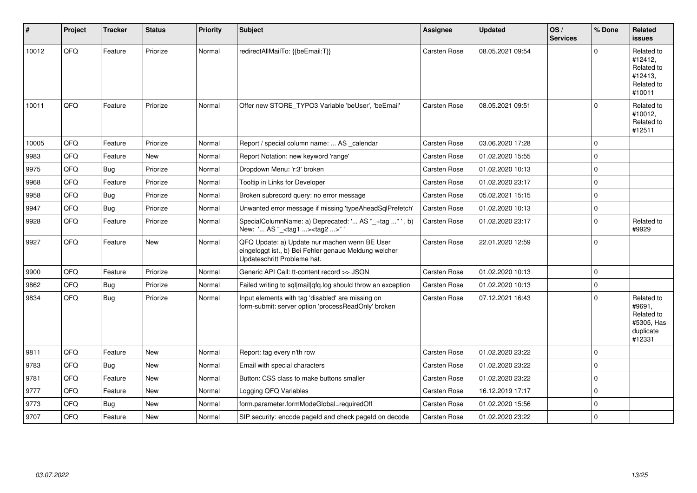| #     | Project | <b>Tracker</b> | <b>Status</b> | <b>Priority</b> | Subject                                                                                                                               | <b>Assignee</b>     | <b>Updated</b>   | OS/<br><b>Services</b> | % Done      | Related<br>issues                                                       |
|-------|---------|----------------|---------------|-----------------|---------------------------------------------------------------------------------------------------------------------------------------|---------------------|------------------|------------------------|-------------|-------------------------------------------------------------------------|
| 10012 | QFQ     | Feature        | Priorize      | Normal          | redirectAllMailTo: {{beEmail:T}}                                                                                                      | <b>Carsten Rose</b> | 08.05.2021 09:54 |                        | 0           | Related to<br>#12412,<br>Related to<br>#12413,<br>Related to<br>#10011  |
| 10011 | QFQ     | Feature        | Priorize      | Normal          | Offer new STORE_TYPO3 Variable 'beUser', 'beEmail'                                                                                    | <b>Carsten Rose</b> | 08.05.2021 09:51 |                        | $\Omega$    | Related to<br>#10012,<br>Related to<br>#12511                           |
| 10005 | QFQ     | Feature        | Priorize      | Normal          | Report / special column name:  AS _calendar                                                                                           | <b>Carsten Rose</b> | 03.06.2020 17:28 |                        | $\Omega$    |                                                                         |
| 9983  | QFQ     | Feature        | <b>New</b>    | Normal          | Report Notation: new keyword 'range'                                                                                                  | <b>Carsten Rose</b> | 01.02.2020 15:55 |                        | $\Omega$    |                                                                         |
| 9975  | QFQ     | <b>Bug</b>     | Priorize      | Normal          | Dropdown Menu: 'r:3' broken                                                                                                           | <b>Carsten Rose</b> | 01.02.2020 10:13 |                        | $\Omega$    |                                                                         |
| 9968  | QFQ     | Feature        | Priorize      | Normal          | Tooltip in Links for Developer                                                                                                        | <b>Carsten Rose</b> | 01.02.2020 23:17 |                        | $\Omega$    |                                                                         |
| 9958  | QFQ     | <b>Bug</b>     | Priorize      | Normal          | Broken subrecord query: no error message                                                                                              | <b>Carsten Rose</b> | 05.02.2021 15:15 |                        | 0           |                                                                         |
| 9947  | QFQ     | <b>Bug</b>     | Priorize      | Normal          | Unwanted error message if missing 'typeAheadSqlPrefetch'                                                                              | <b>Carsten Rose</b> | 01.02.2020 10:13 |                        | $\Omega$    |                                                                         |
| 9928  | QFQ     | Feature        | Priorize      | Normal          | SpecialColumnName: a) Deprecated: ' AS "_+tag " ', b)<br>New: ' AS "_ <tag1><tag2>"</tag2></tag1>                                     | Carsten Rose        | 01.02.2020 23:17 |                        | $\Omega$    | Related to<br>#9929                                                     |
| 9927  | QFQ     | Feature        | <b>New</b>    | Normal          | QFQ Update: a) Update nur machen wenn BE User<br>eingeloggt ist., b) Bei Fehler genaue Meldung welcher<br>Updateschritt Probleme hat. | <b>Carsten Rose</b> | 22.01.2020 12:59 |                        | $\Omega$    |                                                                         |
| 9900  | QFQ     | Feature        | Priorize      | Normal          | Generic API Call: tt-content record >> JSON                                                                                           | <b>Carsten Rose</b> | 01.02.2020 10:13 |                        | $\mathbf 0$ |                                                                         |
| 9862  | QFQ     | <b>Bug</b>     | Priorize      | Normal          | Failed writing to sql mail qfq.log should throw an exception                                                                          | <b>Carsten Rose</b> | 01.02.2020 10:13 |                        | $\Omega$    |                                                                         |
| 9834  | QFQ     | <b>Bug</b>     | Priorize      | Normal          | Input elements with tag 'disabled' are missing on<br>form-submit: server option 'processReadOnly' broken                              | <b>Carsten Rose</b> | 07.12.2021 16:43 |                        | 0           | Related to<br>#9691,<br>Related to<br>#5305, Has<br>duplicate<br>#12331 |
| 9811  | QFQ     | Feature        | New           | Normal          | Report: tag every n'th row                                                                                                            | <b>Carsten Rose</b> | 01.02.2020 23:22 |                        | $\Omega$    |                                                                         |
| 9783  | QFQ     | Bug            | <b>New</b>    | Normal          | Email with special characters                                                                                                         | <b>Carsten Rose</b> | 01.02.2020 23:22 |                        | $\Omega$    |                                                                         |
| 9781  | QFQ     | Feature        | New           | Normal          | Button: CSS class to make buttons smaller                                                                                             | <b>Carsten Rose</b> | 01.02.2020 23:22 |                        | 0           |                                                                         |
| 9777  | QFQ     | Feature        | <b>New</b>    | Normal          | Logging QFQ Variables                                                                                                                 | <b>Carsten Rose</b> | 16.12.2019 17:17 |                        | $\Omega$    |                                                                         |
| 9773  | QFQ     | <b>Bug</b>     | <b>New</b>    | Normal          | form.parameter.formModeGlobal=requiredOff                                                                                             | <b>Carsten Rose</b> | 01.02.2020 15:56 |                        | 0           |                                                                         |
| 9707  | QFQ     | Feature        | New           | Normal          | SIP security: encode pageld and check pageld on decode                                                                                | <b>Carsten Rose</b> | 01.02.2020 23:22 |                        | $\Omega$    |                                                                         |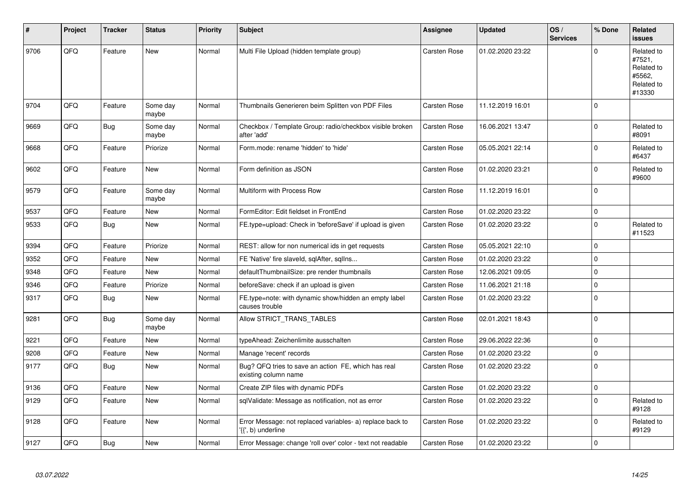| #    | Project | <b>Tracker</b> | <b>Status</b>     | <b>Priority</b> | <b>Subject</b>                                                                  | <b>Assignee</b>     | <b>Updated</b>   | OS/<br><b>Services</b> | % Done       | Related<br><b>issues</b>                                             |
|------|---------|----------------|-------------------|-----------------|---------------------------------------------------------------------------------|---------------------|------------------|------------------------|--------------|----------------------------------------------------------------------|
| 9706 | QFQ     | Feature        | <b>New</b>        | Normal          | Multi File Upload (hidden template group)                                       | <b>Carsten Rose</b> | 01.02.2020 23:22 |                        | $\Omega$     | Related to<br>#7521,<br>Related to<br>#5562,<br>Related to<br>#13330 |
| 9704 | QFQ     | Feature        | Some day<br>maybe | Normal          | Thumbnails Generieren beim Splitten von PDF Files                               | Carsten Rose        | 11.12.2019 16:01 |                        | $\Omega$     |                                                                      |
| 9669 | QFQ     | Bug            | Some day<br>maybe | Normal          | Checkbox / Template Group: radio/checkbox visible broken<br>after 'add'         | Carsten Rose        | 16.06.2021 13:47 |                        | $\Omega$     | Related to<br>#8091                                                  |
| 9668 | QFQ     | Feature        | Priorize          | Normal          | Form.mode: rename 'hidden' to 'hide'                                            | <b>Carsten Rose</b> | 05.05.2021 22:14 |                        | $\Omega$     | Related to<br>#6437                                                  |
| 9602 | QFQ     | Feature        | New               | Normal          | Form definition as JSON                                                         | Carsten Rose        | 01.02.2020 23:21 |                        | $\Omega$     | Related to<br>#9600                                                  |
| 9579 | QFQ     | Feature        | Some day<br>maybe | Normal          | Multiform with Process Row                                                      | Carsten Rose        | 11.12.2019 16:01 |                        | $\Omega$     |                                                                      |
| 9537 | QFQ     | Feature        | New               | Normal          | FormEditor: Edit fieldset in FrontEnd                                           | Carsten Rose        | 01.02.2020 23:22 |                        | $\mathbf{0}$ |                                                                      |
| 9533 | QFQ     | Bug            | <b>New</b>        | Normal          | FE.type=upload: Check in 'beforeSave' if upload is given                        | Carsten Rose        | 01.02.2020 23:22 |                        | $\Omega$     | Related to<br>#11523                                                 |
| 9394 | QFQ     | Feature        | Priorize          | Normal          | REST: allow for non numerical ids in get requests                               | Carsten Rose        | 05.05.2021 22:10 |                        | $\Omega$     |                                                                      |
| 9352 | QFQ     | Feature        | <b>New</b>        | Normal          | FE 'Native' fire slaveld, sqlAfter, sqllns                                      | Carsten Rose        | 01.02.2020 23:22 |                        | $\Omega$     |                                                                      |
| 9348 | QFQ     | Feature        | <b>New</b>        | Normal          | defaultThumbnailSize: pre render thumbnails                                     | Carsten Rose        | 12.06.2021 09:05 |                        | $\Omega$     |                                                                      |
| 9346 | QFQ     | Feature        | Priorize          | Normal          | beforeSave: check if an upload is given                                         | <b>Carsten Rose</b> | 11.06.2021 21:18 |                        | $\Omega$     |                                                                      |
| 9317 | QFQ     | Bug            | <b>New</b>        | Normal          | FE.type=note: with dynamic show/hidden an empty label<br>causes trouble         | <b>Carsten Rose</b> | 01.02.2020 23:22 |                        | $\Omega$     |                                                                      |
| 9281 | QFQ     | <b>Bug</b>     | Some day<br>maybe | Normal          | Allow STRICT_TRANS_TABLES                                                       | Carsten Rose        | 02.01.2021 18:43 |                        | $\mathbf 0$  |                                                                      |
| 9221 | QFQ     | Feature        | <b>New</b>        | Normal          | typeAhead: Zeichenlimite ausschalten                                            | Carsten Rose        | 29.06.2022 22:36 |                        | $\Omega$     |                                                                      |
| 9208 | QFQ     | Feature        | <b>New</b>        | Normal          | Manage 'recent' records                                                         | <b>Carsten Rose</b> | 01.02.2020 23:22 |                        | $\mathbf 0$  |                                                                      |
| 9177 | QFQ     | Bug            | New               | Normal          | Bug? QFQ tries to save an action FE, which has real<br>existing column name     | <b>Carsten Rose</b> | 01.02.2020 23:22 |                        | $\Omega$     |                                                                      |
| 9136 | QFQ     | Feature        | <b>New</b>        | Normal          | Create ZIP files with dynamic PDFs                                              | <b>Carsten Rose</b> | 01.02.2020 23:22 |                        | $\Omega$     |                                                                      |
| 9129 | QFQ     | Feature        | New               | Normal          | sqlValidate: Message as notification, not as error                              | Carsten Rose        | 01.02.2020 23:22 |                        | $\Omega$     | Related to<br>#9128                                                  |
| 9128 | QFQ     | Feature        | <b>New</b>        | Normal          | Error Message: not replaced variables- a) replace back to<br>'{{', b) underline | Carsten Rose        | 01.02.2020 23:22 |                        | $\Omega$     | Related to<br>#9129                                                  |
| 9127 | QFQ     | <b>Bug</b>     | <b>New</b>        | Normal          | Error Message: change 'roll over' color - text not readable                     | Carsten Rose        | 01.02.2020 23:22 |                        | $\Omega$     |                                                                      |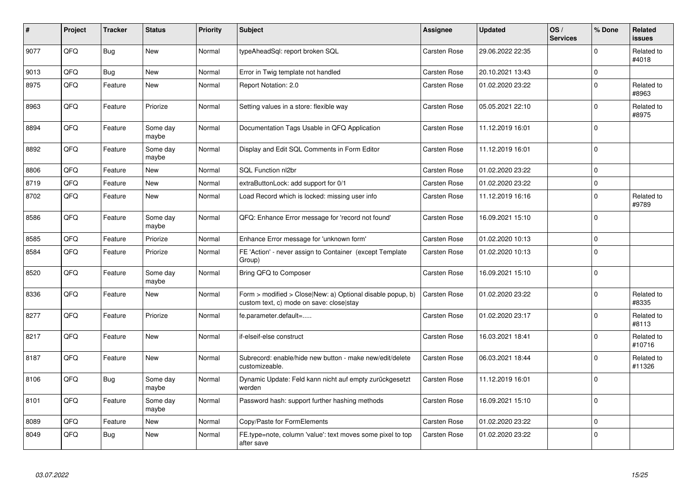| #    | Project | <b>Tracker</b> | <b>Status</b>     | <b>Priority</b> | <b>Subject</b>                                                                                         | Assignee            | <b>Updated</b>   | OS/<br><b>Services</b> | % Done      | Related<br><b>issues</b> |
|------|---------|----------------|-------------------|-----------------|--------------------------------------------------------------------------------------------------------|---------------------|------------------|------------------------|-------------|--------------------------|
| 9077 | QFQ     | Bug            | <b>New</b>        | Normal          | typeAheadSql: report broken SQL                                                                        | Carsten Rose        | 29.06.2022 22:35 |                        | $\Omega$    | Related to<br>#4018      |
| 9013 | QFQ     | Bug            | <b>New</b>        | Normal          | Error in Twig template not handled                                                                     | Carsten Rose        | 20.10.2021 13:43 |                        | $\mathbf 0$ |                          |
| 8975 | QFQ     | Feature        | <b>New</b>        | Normal          | Report Notation: 2.0                                                                                   | <b>Carsten Rose</b> | 01.02.2020 23:22 |                        | $\Omega$    | Related to<br>#8963      |
| 8963 | QFQ     | Feature        | Priorize          | Normal          | Setting values in a store: flexible way                                                                | Carsten Rose        | 05.05.2021 22:10 |                        | $\Omega$    | Related to<br>#8975      |
| 8894 | QFQ     | Feature        | Some day<br>maybe | Normal          | Documentation Tags Usable in QFQ Application                                                           | <b>Carsten Rose</b> | 11.12.2019 16:01 |                        | $\Omega$    |                          |
| 8892 | QFQ     | Feature        | Some day<br>maybe | Normal          | Display and Edit SQL Comments in Form Editor                                                           | Carsten Rose        | 11.12.2019 16:01 |                        | $\Omega$    |                          |
| 8806 | QFQ     | Feature        | <b>New</b>        | Normal          | SQL Function nl2br                                                                                     | Carsten Rose        | 01.02.2020 23:22 |                        | $\Omega$    |                          |
| 8719 | QFQ     | Feature        | New               | Normal          | extraButtonLock: add support for 0/1                                                                   | Carsten Rose        | 01.02.2020 23:22 |                        | $\mathbf 0$ |                          |
| 8702 | QFQ     | Feature        | New               | Normal          | Load Record which is locked: missing user info                                                         | Carsten Rose        | 11.12.2019 16:16 |                        | $\Omega$    | Related to<br>#9789      |
| 8586 | QFQ     | Feature        | Some day<br>maybe | Normal          | QFQ: Enhance Error message for 'record not found'                                                      | Carsten Rose        | 16.09.2021 15:10 |                        | $\Omega$    |                          |
| 8585 | QFQ     | Feature        | Priorize          | Normal          | Enhance Error message for 'unknown form'                                                               | Carsten Rose        | 01.02.2020 10:13 |                        | $\Omega$    |                          |
| 8584 | QFQ     | Feature        | Priorize          | Normal          | FE 'Action' - never assign to Container (except Template<br>Group)                                     | <b>Carsten Rose</b> | 01.02.2020 10:13 |                        | $\mathbf 0$ |                          |
| 8520 | QFQ     | Feature        | Some day<br>maybe | Normal          | Bring QFQ to Composer                                                                                  | Carsten Rose        | 16.09.2021 15:10 |                        | $\mathbf 0$ |                          |
| 8336 | QFQ     | Feature        | <b>New</b>        | Normal          | Form > modified > Close New: a) Optional disable popup, b)<br>custom text, c) mode on save: close stay | <b>Carsten Rose</b> | 01.02.2020 23:22 |                        | $\Omega$    | Related to<br>#8335      |
| 8277 | QFQ     | Feature        | Priorize          | Normal          | fe.parameter.default=                                                                                  | Carsten Rose        | 01.02.2020 23:17 |                        | $\Omega$    | Related to<br>#8113      |
| 8217 | QFQ     | Feature        | <b>New</b>        | Normal          | if-elseif-else construct                                                                               | Carsten Rose        | 16.03.2021 18:41 |                        | $\Omega$    | Related to<br>#10716     |
| 8187 | QFQ     | Feature        | <b>New</b>        | Normal          | Subrecord: enable/hide new button - make new/edit/delete<br>customizeable.                             | Carsten Rose        | 06.03.2021 18:44 |                        | $\Omega$    | Related to<br>#11326     |
| 8106 | QFQ     | <b>Bug</b>     | Some day<br>maybe | Normal          | Dynamic Update: Feld kann nicht auf empty zurückgesetzt<br>werden                                      | Carsten Rose        | 11.12.2019 16:01 |                        | $\Omega$    |                          |
| 8101 | QFQ     | Feature        | Some day<br>maybe | Normal          | Password hash: support further hashing methods                                                         | Carsten Rose        | 16.09.2021 15:10 |                        | $\Omega$    |                          |
| 8089 | QFQ     | Feature        | <b>New</b>        | Normal          | Copy/Paste for FormElements                                                                            | Carsten Rose        | 01.02.2020 23:22 |                        | $\mathbf 0$ |                          |
| 8049 | QFQ     | Bug            | <b>New</b>        | Normal          | FE.type=note, column 'value': text moves some pixel to top<br>after save                               | Carsten Rose        | 01.02.2020 23:22 |                        | $\Omega$    |                          |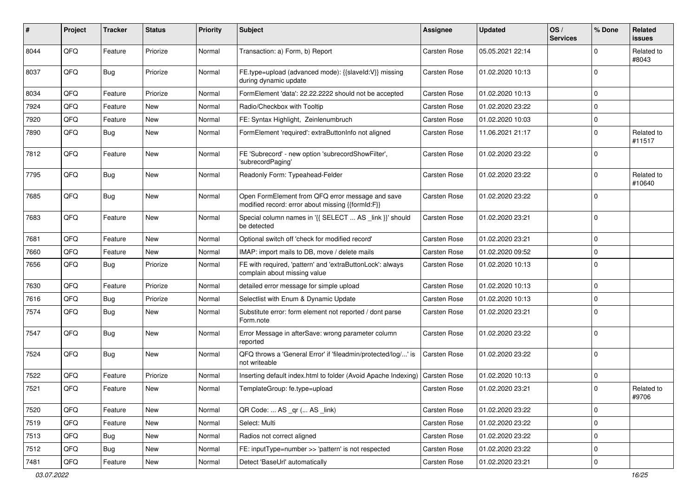| ∦    | Project | <b>Tracker</b> | <b>Status</b> | <b>Priority</b> | Subject                                                                                               | Assignee            | <b>Updated</b>   | OS/<br><b>Services</b> | % Done              | <b>Related</b><br>issues |
|------|---------|----------------|---------------|-----------------|-------------------------------------------------------------------------------------------------------|---------------------|------------------|------------------------|---------------------|--------------------------|
| 8044 | QFQ     | Feature        | Priorize      | Normal          | Transaction: a) Form, b) Report                                                                       | Carsten Rose        | 05.05.2021 22:14 |                        | $\mathbf 0$         | Related to<br>#8043      |
| 8037 | QFQ     | Bug            | Priorize      | Normal          | FE.type=upload (advanced mode): {{slaveld:V}} missing<br>during dynamic update                        | Carsten Rose        | 01.02.2020 10:13 |                        | $\mathbf 0$         |                          |
| 8034 | QFQ     | Feature        | Priorize      | Normal          | FormElement 'data': 22.22.2222 should not be accepted                                                 | Carsten Rose        | 01.02.2020 10:13 |                        | $\mathbf 0$         |                          |
| 7924 | QFQ     | Feature        | New           | Normal          | Radio/Checkbox with Tooltip                                                                           | Carsten Rose        | 01.02.2020 23:22 |                        | $\mathbf 0$         |                          |
| 7920 | QFQ     | Feature        | <b>New</b>    | Normal          | FE: Syntax Highlight, Zeinlenumbruch                                                                  | Carsten Rose        | 01.02.2020 10:03 |                        | $\mathbf 0$         |                          |
| 7890 | QFQ     | Bug            | New           | Normal          | FormElement 'required': extraButtonInfo not aligned                                                   | Carsten Rose        | 11.06.2021 21:17 |                        | $\mathbf 0$         | Related to<br>#11517     |
| 7812 | QFQ     | Feature        | New           | Normal          | FE 'Subrecord' - new option 'subrecordShowFilter',<br>'subrecordPaging'                               | Carsten Rose        | 01.02.2020 23:22 |                        | $\mathbf 0$         |                          |
| 7795 | QFQ     | Bug            | New           | Normal          | Readonly Form: Typeahead-Felder                                                                       | Carsten Rose        | 01.02.2020 23:22 |                        | $\mathbf 0$         | Related to<br>#10640     |
| 7685 | QFQ     | Bug            | New           | Normal          | Open FormElement from QFQ error message and save<br>modified record: error about missing {{formId:F}} | Carsten Rose        | 01.02.2020 23:22 |                        | $\mathbf 0$         |                          |
| 7683 | QFQ     | Feature        | New           | Normal          | Special column names in '{{ SELECT  AS _link }}' should<br>be detected                                | Carsten Rose        | 01.02.2020 23:21 |                        | $\mathbf 0$         |                          |
| 7681 | QFQ     | Feature        | <b>New</b>    | Normal          | Optional switch off 'check for modified record'                                                       | Carsten Rose        | 01.02.2020 23:21 |                        | $\mathbf 0$         |                          |
| 7660 | QFQ     | Feature        | New           | Normal          | IMAP: import mails to DB, move / delete mails                                                         | Carsten Rose        | 01.02.2020 09:52 |                        | 0                   |                          |
| 7656 | QFQ     | Bug            | Priorize      | Normal          | FE with required, 'pattern' and 'extraButtonLock': always<br>complain about missing value             | Carsten Rose        | 01.02.2020 10:13 |                        | $\mathbf 0$         |                          |
| 7630 | QFQ     | Feature        | Priorize      | Normal          | detailed error message for simple upload                                                              | Carsten Rose        | 01.02.2020 10:13 |                        | $\mathbf 0$         |                          |
| 7616 | QFQ     | Bug            | Priorize      | Normal          | Selectlist with Enum & Dynamic Update                                                                 | Carsten Rose        | 01.02.2020 10:13 |                        | $\mathbf 0$         |                          |
| 7574 | QFQ     | Bug            | New           | Normal          | Substitute error: form element not reported / dont parse<br>Form.note                                 | Carsten Rose        | 01.02.2020 23:21 |                        | $\mathbf 0$         |                          |
| 7547 | QFQ     | Bug            | New           | Normal          | Error Message in afterSave: wrong parameter column<br>reported                                        | Carsten Rose        | 01.02.2020 23:22 |                        | $\mathbf 0$         |                          |
| 7524 | QFQ     | Bug            | New           | Normal          | QFQ throws a 'General Error' if 'fileadmin/protected/log/' is<br>not writeable                        | <b>Carsten Rose</b> | 01.02.2020 23:22 |                        | $\Omega$            |                          |
| 7522 | QFQ     | Feature        | Priorize      | Normal          | Inserting default index.html to folder (Avoid Apache Indexing)                                        | <b>Carsten Rose</b> | 01.02.2020 10:13 |                        | $\mathbf 0$         |                          |
| 7521 | QFQ     | Feature        | New           | Normal          | TemplateGroup: fe.type=upload                                                                         | <b>Carsten Rose</b> | 01.02.2020 23:21 |                        | $\mathbf 0$         | Related to<br>#9706      |
| 7520 | QFQ     | Feature        | New           | Normal          | QR Code:  AS _qr ( AS _link)                                                                          | Carsten Rose        | 01.02.2020 23:22 |                        | $\mathsf 0$         |                          |
| 7519 | QFQ     | Feature        | New           | Normal          | Select: Multi                                                                                         | Carsten Rose        | 01.02.2020 23:22 |                        | 0                   |                          |
| 7513 | QFQ     | <b>Bug</b>     | New           | Normal          | Radios not correct aligned                                                                            | Carsten Rose        | 01.02.2020 23:22 |                        | 0                   |                          |
| 7512 | QFG     | Bug            | New           | Normal          | FE: inputType=number >> 'pattern' is not respected                                                    | Carsten Rose        | 01.02.2020 23:22 |                        | 0                   |                          |
| 7481 | QFG     | Feature        | New           | Normal          | Detect 'BaseUrl' automatically                                                                        | Carsten Rose        | 01.02.2020 23:21 |                        | $\mathsf{O}\xspace$ |                          |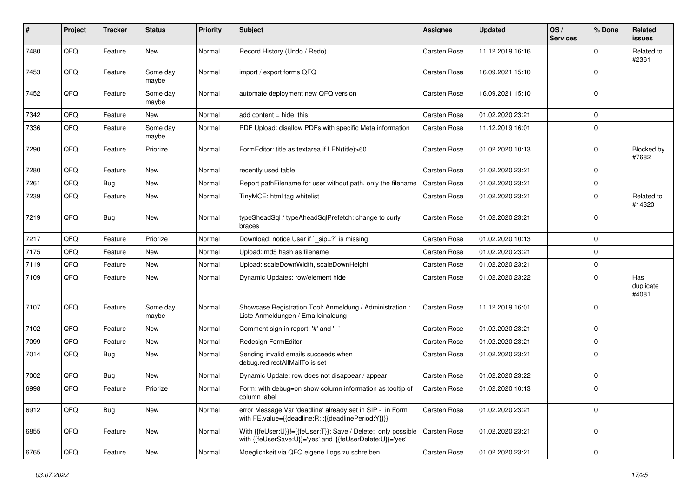| ∦    | Project | <b>Tracker</b> | <b>Status</b>     | <b>Priority</b> | <b>Subject</b>                                                                                                             | <b>Assignee</b>     | <b>Updated</b>   | OS/<br><b>Services</b> | % Done              | Related<br>issues         |
|------|---------|----------------|-------------------|-----------------|----------------------------------------------------------------------------------------------------------------------------|---------------------|------------------|------------------------|---------------------|---------------------------|
| 7480 | QFQ     | Feature        | <b>New</b>        | Normal          | Record History (Undo / Redo)                                                                                               | <b>Carsten Rose</b> | 11.12.2019 16:16 |                        | 0                   | Related to<br>#2361       |
| 7453 | QFQ     | Feature        | Some day<br>maybe | Normal          | import / export forms QFQ                                                                                                  | <b>Carsten Rose</b> | 16.09.2021 15:10 |                        | $\Omega$            |                           |
| 7452 | QFQ     | Feature        | Some dav<br>maybe | Normal          | automate deployment new QFQ version                                                                                        | <b>Carsten Rose</b> | 16.09.2021 15:10 |                        | 0                   |                           |
| 7342 | QFQ     | Feature        | <b>New</b>        | Normal          | add content $=$ hide this                                                                                                  | <b>Carsten Rose</b> | 01.02.2020 23:21 |                        | $\mathbf 0$         |                           |
| 7336 | QFQ     | Feature        | Some day<br>maybe | Normal          | PDF Upload: disallow PDFs with specific Meta information                                                                   | Carsten Rose        | 11.12.2019 16:01 |                        | $\Omega$            |                           |
| 7290 | QFQ     | Feature        | Priorize          | Normal          | FormEditor: title as textarea if LEN(title)>60                                                                             | Carsten Rose        | 01.02.2020 10:13 |                        | $\Omega$            | Blocked by<br>#7682       |
| 7280 | QFQ     | Feature        | <b>New</b>        | Normal          | recently used table                                                                                                        | <b>Carsten Rose</b> | 01.02.2020 23:21 |                        | $\Omega$            |                           |
| 7261 | QFQ     | Bug            | <b>New</b>        | Normal          | Report pathFilename for user without path, only the filename                                                               | <b>Carsten Rose</b> | 01.02.2020 23:21 |                        | 0                   |                           |
| 7239 | QFQ     | Feature        | <b>New</b>        | Normal          | TinyMCE: html tag whitelist                                                                                                | <b>Carsten Rose</b> | 01.02.2020 23:21 |                        | $\Omega$            | Related to<br>#14320      |
| 7219 | QFQ     | Bug            | <b>New</b>        | Normal          | typeSheadSql / typeAheadSqlPrefetch: change to curly<br>braces                                                             | <b>Carsten Rose</b> | 01.02.2020 23:21 |                        | 0                   |                           |
| 7217 | QFQ     | Feature        | Priorize          | Normal          | Download: notice User if `_sip=?` is missing                                                                               | <b>Carsten Rose</b> | 01.02.2020 10:13 |                        | $\mathbf 0$         |                           |
| 7175 | QFQ     | Feature        | New               | Normal          | Upload: md5 hash as filename                                                                                               | <b>Carsten Rose</b> | 01.02.2020 23:21 |                        | $\Omega$            |                           |
| 7119 | QFQ     | Feature        | <b>New</b>        | Normal          | Upload: scaleDownWidth, scaleDownHeight                                                                                    | <b>Carsten Rose</b> | 01.02.2020 23:21 |                        | 0                   |                           |
| 7109 | QFQ     | Feature        | New               | Normal          | Dynamic Updates: row/element hide                                                                                          | <b>Carsten Rose</b> | 01.02.2020 23:22 |                        | $\Omega$            | Has<br>duplicate<br>#4081 |
| 7107 | QFQ     | Feature        | Some day<br>maybe | Normal          | Showcase Registration Tool: Anmeldung / Administration :<br>Liste Anmeldungen / Emaileinaldung                             | Carsten Rose        | 11.12.2019 16:01 |                        | $\Omega$            |                           |
| 7102 | QFQ     | Feature        | <b>New</b>        | Normal          | Comment sign in report: '#' and '--'                                                                                       | <b>Carsten Rose</b> | 01.02.2020 23:21 |                        | $\mathbf 0$         |                           |
| 7099 | QFQ     | Feature        | New               | Normal          | Redesign FormEditor                                                                                                        | <b>Carsten Rose</b> | 01.02.2020 23:21 |                        | 0                   |                           |
| 7014 | QFQ     | Bug            | <b>New</b>        | Normal          | Sending invalid emails succeeds when<br>debug.redirectAllMailTo is set                                                     | <b>Carsten Rose</b> | 01.02.2020 23:21 |                        | $\Omega$            |                           |
| 7002 | QFQ     | <b>Bug</b>     | <b>New</b>        | Normal          | Dynamic Update: row does not disappear / appear                                                                            | <b>Carsten Rose</b> | 01.02.2020 23:22 |                        | $\Omega$            |                           |
| 6998 | QFQ     | Feature        | Priorize          | Normal          | Form: with debug=on show column information as tooltip of<br>column label                                                  | <b>Carsten Rose</b> | 01.02.2020 10:13 |                        | $\Omega$            |                           |
| 6912 | QFQ     | Bug            | <b>New</b>        | Normal          | error Message Var 'deadline' already set in SIP - in Form<br>with FE.value={{deadline:R:::{{deadlinePeriod:Y}}}}           | Carsten Rose        | 01.02.2020 23:21 |                        | $\mathbf 0$         |                           |
| 6855 | QFQ     | Feature        | New               | Normal          | With {{feUser:U}}!={{feUser:T}}: Save / Delete: only possible<br>with {{feUserSave:U}}='yes' and '{{feUserDelete:U}}='yes' | Carsten Rose        | 01.02.2020 23:21 |                        | $\mathbf 0$         |                           |
| 6765 | QFG     | Feature        | New               | Normal          | Moeglichkeit via QFQ eigene Logs zu schreiben                                                                              | Carsten Rose        | 01.02.2020 23:21 |                        | $\mathsf{O}\xspace$ |                           |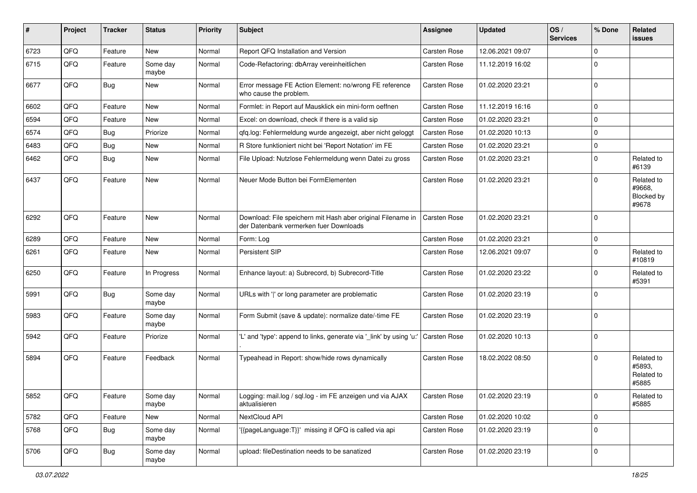| ∦    | Project | <b>Tracker</b> | <b>Status</b>     | <b>Priority</b> | Subject                                                                                               | <b>Assignee</b>     | <b>Updated</b>   | OS/<br><b>Services</b> | % Done      | Related<br>issues                           |
|------|---------|----------------|-------------------|-----------------|-------------------------------------------------------------------------------------------------------|---------------------|------------------|------------------------|-------------|---------------------------------------------|
| 6723 | QFQ     | Feature        | <b>New</b>        | Normal          | Report QFQ Installation and Version                                                                   | Carsten Rose        | 12.06.2021 09:07 |                        | 0           |                                             |
| 6715 | QFQ     | Feature        | Some day<br>maybe | Normal          | Code-Refactoring: dbArray vereinheitlichen                                                            | <b>Carsten Rose</b> | 11.12.2019 16:02 |                        | $\Omega$    |                                             |
| 6677 | QFQ     | Bug            | New               | Normal          | Error message FE Action Element: no/wrong FE reference<br>who cause the problem.                      | Carsten Rose        | 01.02.2020 23:21 |                        | $\Omega$    |                                             |
| 6602 | QFQ     | Feature        | <b>New</b>        | Normal          | Formlet: in Report auf Mausklick ein mini-form oeffnen                                                | <b>Carsten Rose</b> | 11.12.2019 16:16 |                        | $\Omega$    |                                             |
| 6594 | QFQ     | Feature        | New               | Normal          | Excel: on download, check if there is a valid sip                                                     | <b>Carsten Rose</b> | 01.02.2020 23:21 |                        | $\mathbf 0$ |                                             |
| 6574 | QFQ     | <b>Bug</b>     | Priorize          | Normal          | qfq.log: Fehlermeldung wurde angezeigt, aber nicht geloggt                                            | Carsten Rose        | 01.02.2020 10:13 |                        | $\Omega$    |                                             |
| 6483 | QFQ     | <b>Bug</b>     | <b>New</b>        | Normal          | R Store funktioniert nicht bei 'Report Notation' im FE                                                | <b>Carsten Rose</b> | 01.02.2020 23:21 |                        | 0           |                                             |
| 6462 | QFQ     | Bug            | <b>New</b>        | Normal          | File Upload: Nutzlose Fehlermeldung wenn Datei zu gross                                               | <b>Carsten Rose</b> | 01.02.2020 23:21 |                        | $\Omega$    | Related to<br>#6139                         |
| 6437 | QFQ     | Feature        | <b>New</b>        | Normal          | Neuer Mode Button bei FormElementen                                                                   | <b>Carsten Rose</b> | 01.02.2020 23:21 |                        | 0           | Related to<br>#9668.<br>Blocked by<br>#9678 |
| 6292 | QFQ     | Feature        | <b>New</b>        | Normal          | Download: File speichern mit Hash aber original Filename in<br>der Datenbank vermerken fuer Downloads | <b>Carsten Rose</b> | 01.02.2020 23:21 |                        | $\Omega$    |                                             |
| 6289 | QFQ     | Feature        | <b>New</b>        | Normal          | Form: Log                                                                                             | <b>Carsten Rose</b> | 01.02.2020 23:21 |                        | $\mathbf 0$ |                                             |
| 6261 | QFQ     | Feature        | New               | Normal          | Persistent SIP                                                                                        | Carsten Rose        | 12.06.2021 09:07 |                        | $\Omega$    | Related to<br>#10819                        |
| 6250 | QFQ     | Feature        | In Progress       | Normal          | Enhance layout: a) Subrecord, b) Subrecord-Title                                                      | <b>Carsten Rose</b> | 01.02.2020 23:22 |                        | $\Omega$    | Related to<br>#5391                         |
| 5991 | QFQ     | Bug            | Some day<br>maybe | Normal          | URLs with ' ' or long parameter are problematic                                                       | Carsten Rose        | 01.02.2020 23:19 |                        | $\Omega$    |                                             |
| 5983 | QFQ     | Feature        | Some day<br>maybe | Normal          | Form Submit (save & update): normalize date/-time FE                                                  | Carsten Rose        | 01.02.2020 23:19 |                        | $\Omega$    |                                             |
| 5942 | QFQ     | Feature        | Priorize          | Normal          | 'L' and 'type': append to links, generate via '_link' by using 'u:'                                   | <b>Carsten Rose</b> | 01.02.2020 10:13 |                        | $\Omega$    |                                             |
| 5894 | QFQ     | Feature        | Feedback          | Normal          | Typeahead in Report: show/hide rows dynamically                                                       | <b>Carsten Rose</b> | 18.02.2022 08:50 |                        | $\Omega$    | Related to<br>#5893,<br>Related to<br>#5885 |
| 5852 | QFQ     | Feature        | Some day<br>maybe | Normal          | Logging: mail.log / sql.log - im FE anzeigen und via AJAX<br>aktualisieren                            | Carsten Rose        | 01.02.2020 23:19 |                        | ΙO          | Related to<br>#5885                         |
| 5782 | QFQ     | Feature        | New               | Normal          | NextCloud API                                                                                         | Carsten Rose        | 01.02.2020 10:02 |                        | $\mathbf 0$ |                                             |
| 5768 | QFG     | Bug            | Some day<br>maybe | Normal          | '{{pageLanguage:T}}' missing if QFQ is called via api                                                 | Carsten Rose        | 01.02.2020 23:19 |                        | $\mathbf 0$ |                                             |
| 5706 | QFQ     | <b>Bug</b>     | Some day<br>maybe | Normal          | upload: fileDestination needs to be sanatized                                                         | Carsten Rose        | 01.02.2020 23:19 |                        | $\mathbf 0$ |                                             |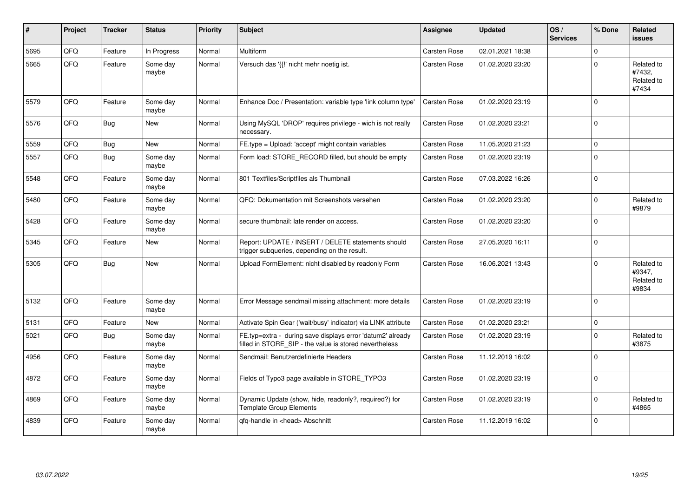| #    | Project | <b>Tracker</b> | <b>Status</b>     | <b>Priority</b> | <b>Subject</b>                                                                                                       | <b>Assignee</b>     | <b>Updated</b>   | OS/<br><b>Services</b> | % Done       | Related<br>issues                           |
|------|---------|----------------|-------------------|-----------------|----------------------------------------------------------------------------------------------------------------------|---------------------|------------------|------------------------|--------------|---------------------------------------------|
| 5695 | QFQ     | Feature        | In Progress       | Normal          | <b>Multiform</b>                                                                                                     | <b>Carsten Rose</b> | 02.01.2021 18:38 |                        | $\Omega$     |                                             |
| 5665 | QFQ     | Feature        | Some day<br>maybe | Normal          | Versuch das '{{!' nicht mehr noetig ist.                                                                             | <b>Carsten Rose</b> | 01.02.2020 23:20 |                        | $\Omega$     | Related to<br>#7432,<br>Related to<br>#7434 |
| 5579 | QFQ     | Feature        | Some day<br>maybe | Normal          | Enhance Doc / Presentation: variable type 'link column type'                                                         | <b>Carsten Rose</b> | 01.02.2020 23:19 |                        | 0            |                                             |
| 5576 | QFQ     | Bug            | New               | Normal          | Using MySQL 'DROP' requires privilege - wich is not really<br>necessary.                                             | <b>Carsten Rose</b> | 01.02.2020 23:21 |                        | $\Omega$     |                                             |
| 5559 | QFQ     | Bug            | New               | Normal          | FE.type = Upload: 'accept' might contain variables                                                                   | Carsten Rose        | 11.05.2020 21:23 |                        | $\Omega$     |                                             |
| 5557 | QFQ     | <b>Bug</b>     | Some day<br>maybe | Normal          | Form load: STORE RECORD filled, but should be empty                                                                  | <b>Carsten Rose</b> | 01.02.2020 23:19 |                        | $\mathbf 0$  |                                             |
| 5548 | QFQ     | Feature        | Some dav<br>maybe | Normal          | 801 Textfiles/Scriptfiles als Thumbnail                                                                              | <b>Carsten Rose</b> | 07.03.2022 16:26 |                        | $\Omega$     |                                             |
| 5480 | QFQ     | Feature        | Some day<br>maybe | Normal          | QFQ: Dokumentation mit Screenshots versehen                                                                          | <b>Carsten Rose</b> | 01.02.2020 23:20 |                        | $\Omega$     | Related to<br>#9879                         |
| 5428 | QFQ     | Feature        | Some day<br>maybe | Normal          | secure thumbnail: late render on access.                                                                             | <b>Carsten Rose</b> | 01.02.2020 23:20 |                        | $\Omega$     |                                             |
| 5345 | QFQ     | Feature        | New               | Normal          | Report: UPDATE / INSERT / DELETE statements should<br>trigger subqueries, depending on the result.                   | <b>Carsten Rose</b> | 27.05.2020 16:11 |                        | $\mathbf 0$  |                                             |
| 5305 | QFQ     | Bug            | New               | Normal          | Upload FormElement: nicht disabled by readonly Form                                                                  | <b>Carsten Rose</b> | 16.06.2021 13:43 |                        | $\mathbf 0$  | Related to<br>#9347,<br>Related to<br>#9834 |
| 5132 | QFQ     | Feature        | Some day<br>maybe | Normal          | Error Message sendmail missing attachment: more details                                                              | Carsten Rose        | 01.02.2020 23:19 |                        | $\Omega$     |                                             |
| 5131 | QFQ     | Feature        | New               | Normal          | Activate Spin Gear ('wait/busy' indicator) via LINK attribute                                                        | <b>Carsten Rose</b> | 01.02.2020 23:21 |                        | $\mathbf 0$  |                                             |
| 5021 | QFQ     | Bug            | Some day<br>maybe | Normal          | FE.typ=extra - during save displays error 'datum2' already<br>filled in STORE_SIP - the value is stored nevertheless | <b>Carsten Rose</b> | 01.02.2020 23:19 |                        | $\Omega$     | Related to<br>#3875                         |
| 4956 | QFQ     | Feature        | Some day<br>maybe | Normal          | Sendmail: Benutzerdefinierte Headers                                                                                 | Carsten Rose        | 11.12.2019 16:02 |                        | $\Omega$     |                                             |
| 4872 | QFQ     | Feature        | Some day<br>maybe | Normal          | Fields of Typo3 page available in STORE_TYPO3                                                                        | Carsten Rose        | 01.02.2020 23:19 |                        | $\Omega$     |                                             |
| 4869 | QFQ     | Feature        | Some day<br>maybe | Normal          | Dynamic Update (show, hide, readonly?, required?) for<br><b>Template Group Elements</b>                              | Carsten Rose        | 01.02.2020 23:19 |                        | <sup>0</sup> | Related to<br>#4865                         |
| 4839 | QFQ     | Feature        | Some day<br>maybe | Normal          | qfq-handle in <head> Abschnitt</head>                                                                                | <b>Carsten Rose</b> | 11.12.2019 16:02 |                        | $\Omega$     |                                             |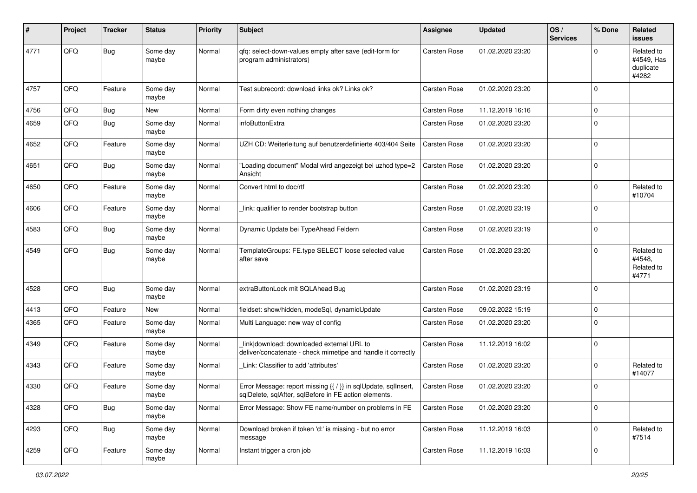| #    | Project | <b>Tracker</b> | <b>Status</b>     | <b>Priority</b> | <b>Subject</b>                                                                                                          | <b>Assignee</b>     | <b>Updated</b>   | OS/<br><b>Services</b> | % Done      | Related<br>issues                              |
|------|---------|----------------|-------------------|-----------------|-------------------------------------------------------------------------------------------------------------------------|---------------------|------------------|------------------------|-------------|------------------------------------------------|
| 4771 | QFQ     | Bug            | Some day<br>maybe | Normal          | qfq: select-down-values empty after save (edit-form for<br>program administrators)                                      | Carsten Rose        | 01.02.2020 23:20 |                        | 0           | Related to<br>#4549, Has<br>duplicate<br>#4282 |
| 4757 | QFQ     | Feature        | Some day<br>maybe | Normal          | Test subrecord: download links ok? Links ok?                                                                            | <b>Carsten Rose</b> | 01.02.2020 23:20 |                        | 0           |                                                |
| 4756 | QFQ     | Bug            | <b>New</b>        | Normal          | Form dirty even nothing changes                                                                                         | <b>Carsten Rose</b> | 11.12.2019 16:16 |                        | $\mathbf 0$ |                                                |
| 4659 | QFQ     | Bug            | Some day<br>maybe | Normal          | infoButtonExtra                                                                                                         | <b>Carsten Rose</b> | 01.02.2020 23:20 |                        | 0           |                                                |
| 4652 | QFQ     | Feature        | Some day<br>maybe | Normal          | UZH CD: Weiterleitung auf benutzerdefinierte 403/404 Seite                                                              | <b>Carsten Rose</b> | 01.02.2020 23:20 |                        | $\Omega$    |                                                |
| 4651 | QFQ     | <b>Bug</b>     | Some day<br>maybe | Normal          | 'Loading document" Modal wird angezeigt bei uzhcd type=2<br>Ansicht                                                     | <b>Carsten Rose</b> | 01.02.2020 23:20 |                        | 0           |                                                |
| 4650 | QFQ     | Feature        | Some day<br>maybe | Normal          | Convert html to doc/rtf                                                                                                 | Carsten Rose        | 01.02.2020 23:20 |                        | $\Omega$    | Related to<br>#10704                           |
| 4606 | QFQ     | Feature        | Some day<br>maybe | Normal          | link: qualifier to render bootstrap button                                                                              | <b>Carsten Rose</b> | 01.02.2020 23:19 |                        | 0           |                                                |
| 4583 | QFQ     | Bug            | Some day<br>maybe | Normal          | Dynamic Update bei TypeAhead Feldern                                                                                    | <b>Carsten Rose</b> | 01.02.2020 23:19 |                        | $\mathbf 0$ |                                                |
| 4549 | QFQ     | <b>Bug</b>     | Some day<br>maybe | Normal          | TemplateGroups: FE.type SELECT loose selected value<br>after save                                                       | <b>Carsten Rose</b> | 01.02.2020 23:20 |                        | $\Omega$    | Related to<br>#4548,<br>Related to<br>#4771    |
| 4528 | QFQ     | Bug            | Some day<br>maybe | Normal          | extraButtonLock mit SQLAhead Bug                                                                                        | Carsten Rose        | 01.02.2020 23:19 |                        | $\Omega$    |                                                |
| 4413 | QFQ     | Feature        | New               | Normal          | fieldset: show/hidden, modeSql, dynamicUpdate                                                                           | <b>Carsten Rose</b> | 09.02.2022 15:19 |                        | 0           |                                                |
| 4365 | QFQ     | Feature        | Some day<br>maybe | Normal          | Multi Language: new way of config                                                                                       | <b>Carsten Rose</b> | 01.02.2020 23:20 |                        | $\Omega$    |                                                |
| 4349 | QFQ     | Feature        | Some day<br>maybe | Normal          | link download: downloaded external URL to<br>deliver/concatenate - check mimetipe and handle it correctly               | <b>Carsten Rose</b> | 11.12.2019 16:02 |                        | $\Omega$    |                                                |
| 4343 | QFQ     | Feature        | Some day<br>maybe | Normal          | Link: Classifier to add 'attributes'                                                                                    | <b>Carsten Rose</b> | 01.02.2020 23:20 |                        | $\Omega$    | Related to<br>#14077                           |
| 4330 | QFQ     | Feature        | Some day<br>maybe | Normal          | Error Message: report missing {{ / }} in sqlUpdate, sqlInsert,<br>sqlDelete, sqlAfter, sqlBefore in FE action elements. | <b>Carsten Rose</b> | 01.02.2020 23:20 |                        | $\Omega$    |                                                |
| 4328 | QFQ     | Bug            | Some day<br>maybe | Normal          | Error Message: Show FE name/number on problems in FE                                                                    | Carsten Rose        | 01.02.2020 23:20 |                        | $\mathbf 0$ |                                                |
| 4293 | QFQ     | Bug            | Some day<br>maybe | Normal          | Download broken if token 'd:' is missing - but no error<br>message                                                      | Carsten Rose        | 11.12.2019 16:03 |                        | 0           | Related to<br>#7514                            |
| 4259 | QFQ     | Feature        | Some day<br>maybe | Normal          | Instant trigger a cron job                                                                                              | Carsten Rose        | 11.12.2019 16:03 |                        | $\mathbf 0$ |                                                |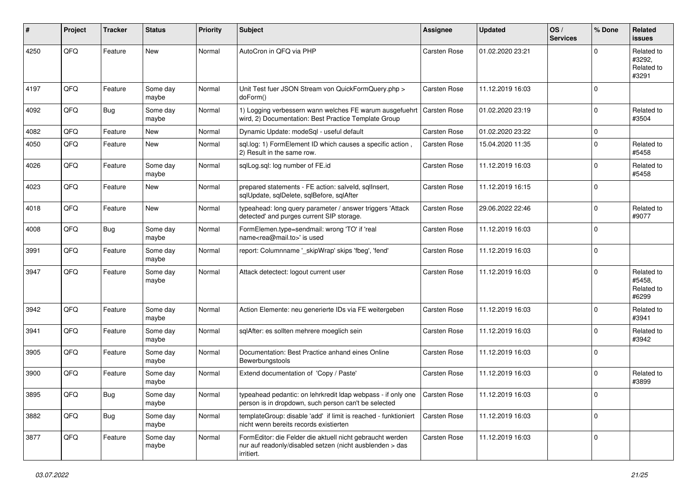| #    | Project | <b>Tracker</b> | <b>Status</b>     | <b>Priority</b> | <b>Subject</b>                                                                                                                      | <b>Assignee</b>     | <b>Updated</b>   | OS/<br><b>Services</b> | % Done      | Related<br><b>issues</b>                    |
|------|---------|----------------|-------------------|-----------------|-------------------------------------------------------------------------------------------------------------------------------------|---------------------|------------------|------------------------|-------------|---------------------------------------------|
| 4250 | QFQ     | Feature        | <b>New</b>        | Normal          | AutoCron in QFQ via PHP                                                                                                             | Carsten Rose        | 01.02.2020 23:21 |                        | $\Omega$    | Related to<br>#3292.<br>Related to<br>#3291 |
| 4197 | QFQ     | Feature        | Some day<br>maybe | Normal          | Unit Test fuer JSON Stream von QuickFormQuery.php ><br>doForm()                                                                     | Carsten Rose        | 11.12.2019 16:03 |                        | $\mathbf 0$ |                                             |
| 4092 | QFQ     | Bug            | Some day<br>maybe | Normal          | 1) Logging verbessern wann welches FE warum ausgefuehrt<br>wird, 2) Documentation: Best Practice Template Group                     | <b>Carsten Rose</b> | 01.02.2020 23:19 |                        | $\mathbf 0$ | Related to<br>#3504                         |
| 4082 | QFQ     | Feature        | <b>New</b>        | Normal          | Dynamic Update: modeSql - useful default                                                                                            | Carsten Rose        | 01.02.2020 23:22 |                        | $\mathbf 0$ |                                             |
| 4050 | QFQ     | Feature        | New               | Normal          | sql.log: 1) FormElement ID which causes a specific action,<br>2) Result in the same row.                                            | Carsten Rose        | 15.04.2020 11:35 |                        | $\mathbf 0$ | Related to<br>#5458                         |
| 4026 | QFQ     | Feature        | Some day<br>maybe | Normal          | sqlLog.sql: log number of FE.id                                                                                                     | Carsten Rose        | 11.12.2019 16:03 |                        | $\mathbf 0$ | Related to<br>#5458                         |
| 4023 | QFQ     | Feature        | New               | Normal          | prepared statements - FE action: salveld, sqllnsert,<br>sqlUpdate, sqlDelete, sqlBefore, sqlAfter                                   | Carsten Rose        | 11.12.2019 16:15 |                        | $\mathbf 0$ |                                             |
| 4018 | QFQ     | Feature        | New               | Normal          | typeahead: long query parameter / answer triggers 'Attack<br>detected' and purges current SIP storage.                              | Carsten Rose        | 29.06.2022 22:46 |                        | $\Omega$    | Related to<br>#9077                         |
| 4008 | QFQ     | <b>Bug</b>     | Some day<br>maybe | Normal          | FormElemen.type=sendmail: wrong 'TO' if 'real<br>name <rea@mail.to>' is used</rea@mail.to>                                          | Carsten Rose        | 11.12.2019 16:03 |                        | $\mathbf 0$ |                                             |
| 3991 | QFQ     | Feature        | Some dav<br>maybe | Normal          | report: Columnname '_skipWrap' skips 'fbeg', 'fend'                                                                                 | Carsten Rose        | 11.12.2019 16:03 |                        | $\mathbf 0$ |                                             |
| 3947 | QFQ     | Feature        | Some day<br>maybe | Normal          | Attack detectect: logout current user                                                                                               | Carsten Rose        | 11.12.2019 16:03 |                        | $\Omega$    | Related to<br>#5458.<br>Related to<br>#6299 |
| 3942 | QFQ     | Feature        | Some day<br>maybe | Normal          | Action Elemente: neu generierte IDs via FE weitergeben                                                                              | <b>Carsten Rose</b> | 11.12.2019 16:03 |                        | $\mathbf 0$ | Related to<br>#3941                         |
| 3941 | QFQ     | Feature        | Some day<br>maybe | Normal          | sqlAfter: es sollten mehrere moeglich sein                                                                                          | Carsten Rose        | 11.12.2019 16:03 |                        | $\mathbf 0$ | Related to<br>#3942                         |
| 3905 | QFQ     | Feature        | Some day<br>maybe | Normal          | Documentation: Best Practice anhand eines Online<br>Bewerbungstools                                                                 | Carsten Rose        | 11.12.2019 16:03 |                        | $\mathbf 0$ |                                             |
| 3900 | QFQ     | Feature        | Some day<br>maybe | Normal          | Extend documentation of 'Copy / Paste'                                                                                              | <b>Carsten Rose</b> | 11.12.2019 16:03 |                        | $\mathbf 0$ | Related to<br>#3899                         |
| 3895 | QFQ     | <b>Bug</b>     | Some day<br>maybe | Normal          | typeahead pedantic: on lehrkredit Idap webpass - if only one Carsten Rose<br>person is in dropdown, such person can't be selected   |                     | 11.12.2019 16:03 |                        |             |                                             |
| 3882 | QFQ     | Bug            | Some day<br>maybe | Normal          | templateGroup: disable 'add' if limit is reached - funktioniert<br>nicht wenn bereits records existierten                           | <b>Carsten Rose</b> | 11.12.2019 16:03 |                        | $\mathbf 0$ |                                             |
| 3877 | QFQ     | Feature        | Some day<br>maybe | Normal          | FormEditor: die Felder die aktuell nicht gebraucht werden<br>nur auf readonly/disabled setzen (nicht ausblenden > das<br>irritiert. | Carsten Rose        | 11.12.2019 16:03 |                        | $\mathbf 0$ |                                             |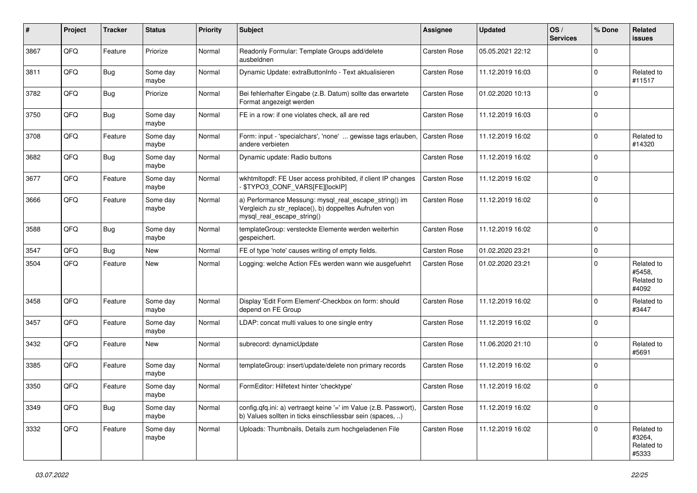| ∦    | Project | <b>Tracker</b> | <b>Status</b>     | <b>Priority</b> | <b>Subject</b>                                                                                                                               | <b>Assignee</b>     | <b>Updated</b>   | OS/<br><b>Services</b> | % Done      | Related<br>issues                           |
|------|---------|----------------|-------------------|-----------------|----------------------------------------------------------------------------------------------------------------------------------------------|---------------------|------------------|------------------------|-------------|---------------------------------------------|
| 3867 | QFQ     | Feature        | Priorize          | Normal          | Readonly Formular: Template Groups add/delete<br>ausbeldnen                                                                                  | <b>Carsten Rose</b> | 05.05.2021 22:12 |                        | $\Omega$    |                                             |
| 3811 | QFQ     | <b>Bug</b>     | Some day<br>maybe | Normal          | Dynamic Update: extraButtonInfo - Text aktualisieren                                                                                         | <b>Carsten Rose</b> | 11.12.2019 16:03 |                        | $\Omega$    | Related to<br>#11517                        |
| 3782 | QFQ     | Bug            | Priorize          | Normal          | Bei fehlerhafter Eingabe (z.B. Datum) sollte das erwartete<br>Format angezeigt werden                                                        | <b>Carsten Rose</b> | 01.02.2020 10:13 |                        | $\Omega$    |                                             |
| 3750 | QFQ     | Bug            | Some day<br>maybe | Normal          | FE in a row: if one violates check, all are red                                                                                              | <b>Carsten Rose</b> | 11.12.2019 16:03 |                        | $\mathbf 0$ |                                             |
| 3708 | QFQ     | Feature        | Some day<br>maybe | Normal          | Form: input - 'specialchars', 'none'  gewisse tags erlauben,<br>andere verbieten                                                             | <b>Carsten Rose</b> | 11.12.2019 16:02 |                        | $\Omega$    | Related to<br>#14320                        |
| 3682 | QFQ     | Bug            | Some day<br>maybe | Normal          | Dynamic update: Radio buttons                                                                                                                | Carsten Rose        | 11.12.2019 16:02 |                        | $\Omega$    |                                             |
| 3677 | QFQ     | Feature        | Some day<br>maybe | Normal          | wkhtmltopdf: FE User access prohibited, if client IP changes<br>\$TYPO3_CONF_VARS[FE][lockIP]                                                | Carsten Rose        | 11.12.2019 16:02 |                        | $\Omega$    |                                             |
| 3666 | QFQ     | Feature        | Some day<br>maybe | Normal          | a) Performance Messung: mysql_real_escape_string() im<br>Vergleich zu str_replace(), b) doppeltes Aufrufen von<br>mysql real escape string() | <b>Carsten Rose</b> | 11.12.2019 16:02 |                        | $\mathbf 0$ |                                             |
| 3588 | QFQ     | Bug            | Some day<br>maybe | Normal          | templateGroup: versteckte Elemente werden weiterhin<br>gespeichert.                                                                          | <b>Carsten Rose</b> | 11.12.2019 16:02 |                        | $\mathbf 0$ |                                             |
| 3547 | QFQ     | Bug            | <b>New</b>        | Normal          | FE of type 'note' causes writing of empty fields.                                                                                            | <b>Carsten Rose</b> | 01.02.2020 23:21 |                        | $\mathbf 0$ |                                             |
| 3504 | QFQ     | Feature        | <b>New</b>        | Normal          | Logging: welche Action FEs werden wann wie ausgefuehrt                                                                                       | <b>Carsten Rose</b> | 01.02.2020 23:21 |                        | $\Omega$    | Related to<br>#5458,<br>Related to<br>#4092 |
| 3458 | QFQ     | Feature        | Some day<br>maybe | Normal          | Display 'Edit Form Element'-Checkbox on form: should<br>depend on FE Group                                                                   | <b>Carsten Rose</b> | 11.12.2019 16:02 |                        | $\Omega$    | Related to<br>#3447                         |
| 3457 | QFQ     | Feature        | Some day<br>maybe | Normal          | LDAP: concat multi values to one single entry                                                                                                | <b>Carsten Rose</b> | 11.12.2019 16:02 |                        | $\Omega$    |                                             |
| 3432 | QFQ     | Feature        | <b>New</b>        | Normal          | subrecord: dynamicUpdate                                                                                                                     | <b>Carsten Rose</b> | 11.06.2020 21:10 |                        | $\Omega$    | Related to<br>#5691                         |
| 3385 | QFQ     | Feature        | Some day<br>maybe | Normal          | templateGroup: insert/update/delete non primary records                                                                                      | <b>Carsten Rose</b> | 11.12.2019 16:02 |                        | $\Omega$    |                                             |
| 3350 | QFQ     | Feature        | Some day<br>maybe | Normal          | FormEditor: Hilfetext hinter 'checktype'                                                                                                     | <b>Carsten Rose</b> | 11.12.2019 16:02 |                        | $\Omega$    |                                             |
| 3349 | QFQ     | <b>Bug</b>     | Some day<br>maybe | Normal          | config.qfq.ini: a) vertraegt keine '=' im Value (z.B. Passwort),<br>b) Values sollten in ticks einschliessbar sein (spaces, )                | <b>Carsten Rose</b> | 11.12.2019 16:02 |                        | $\mathbf 0$ |                                             |
| 3332 | QFQ     | Feature        | Some day<br>maybe | Normal          | Uploads: Thumbnails, Details zum hochgeladenen File                                                                                          | Carsten Rose        | 11.12.2019 16:02 |                        | $\Omega$    | Related to<br>#3264,<br>Related to<br>#5333 |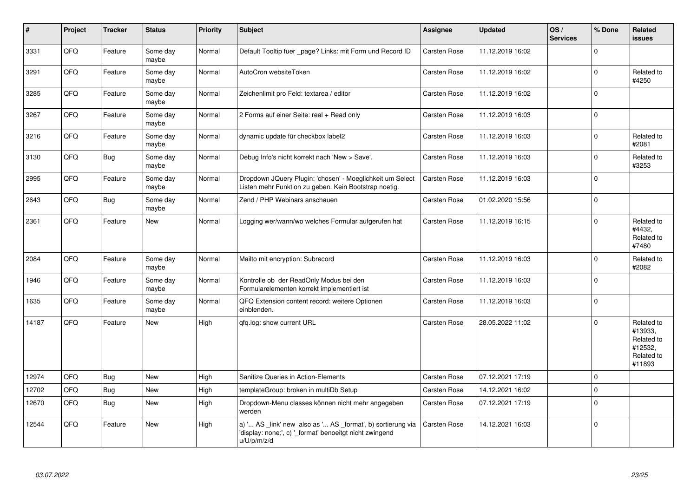| $\vert$ # | Project | <b>Tracker</b> | <b>Status</b>     | <b>Priority</b> | Subject                                                                                                                               | <b>Assignee</b>     | <b>Updated</b>   | OS/<br><b>Services</b> | % Done      | Related<br>issues                                                      |
|-----------|---------|----------------|-------------------|-----------------|---------------------------------------------------------------------------------------------------------------------------------------|---------------------|------------------|------------------------|-------------|------------------------------------------------------------------------|
| 3331      | QFQ     | Feature        | Some day<br>maybe | Normal          | Default Tooltip fuer _page? Links: mit Form und Record ID                                                                             | <b>Carsten Rose</b> | 11.12.2019 16:02 |                        | $\Omega$    |                                                                        |
| 3291      | QFQ     | Feature        | Some day<br>maybe | Normal          | AutoCron websiteToken                                                                                                                 | Carsten Rose        | 11.12.2019 16:02 |                        | $\Omega$    | Related to<br>#4250                                                    |
| 3285      | QFQ     | Feature        | Some day<br>maybe | Normal          | Zeichenlimit pro Feld: textarea / editor                                                                                              | Carsten Rose        | 11.12.2019 16:02 |                        | $\Omega$    |                                                                        |
| 3267      | QFQ     | Feature        | Some day<br>maybe | Normal          | 2 Forms auf einer Seite: real + Read only                                                                                             | Carsten Rose        | 11.12.2019 16:03 |                        | $\Omega$    |                                                                        |
| 3216      | QFQ     | Feature        | Some day<br>maybe | Normal          | dynamic update für checkbox label2                                                                                                    | Carsten Rose        | 11.12.2019 16:03 |                        | $\Omega$    | Related to<br>#2081                                                    |
| 3130      | QFQ     | <b>Bug</b>     | Some day<br>maybe | Normal          | Debug Info's nicht korrekt nach 'New > Save'.                                                                                         | Carsten Rose        | 11.12.2019 16:03 |                        | $\Omega$    | Related to<br>#3253                                                    |
| 2995      | QFQ     | Feature        | Some day<br>maybe | Normal          | Dropdown JQuery Plugin: 'chosen' - Moeglichkeit um Select<br>Listen mehr Funktion zu geben. Kein Bootstrap noetig.                    | <b>Carsten Rose</b> | 11.12.2019 16:03 |                        | $\Omega$    |                                                                        |
| 2643      | QFQ     | Bug            | Some day<br>maybe | Normal          | Zend / PHP Webinars anschauen                                                                                                         | <b>Carsten Rose</b> | 01.02.2020 15:56 |                        | $\Omega$    |                                                                        |
| 2361      | QFQ     | Feature        | <b>New</b>        | Normal          | Logging wer/wann/wo welches Formular aufgerufen hat                                                                                   | Carsten Rose        | 11.12.2019 16:15 |                        | $\Omega$    | Related to<br>#4432,<br>Related to<br>#7480                            |
| 2084      | QFQ     | Feature        | Some day<br>maybe | Normal          | Mailto mit encryption: Subrecord                                                                                                      | Carsten Rose        | 11.12.2019 16:03 |                        | $\mathbf 0$ | Related to<br>#2082                                                    |
| 1946      | QFQ     | Feature        | Some day<br>maybe | Normal          | Kontrolle ob der ReadOnly Modus bei den<br>Formularelementen korrekt implementiert ist                                                | Carsten Rose        | 11.12.2019 16:03 |                        | $\Omega$    |                                                                        |
| 1635      | QFQ     | Feature        | Some day<br>maybe | Normal          | QFQ Extension content record: weitere Optionen<br>einblenden.                                                                         | <b>Carsten Rose</b> | 11.12.2019 16:03 |                        | $\Omega$    |                                                                        |
| 14187     | QFQ     | Feature        | <b>New</b>        | High            | gfg.log: show current URL                                                                                                             | <b>Carsten Rose</b> | 28.05.2022 11:02 |                        | $\Omega$    | Related to<br>#13933.<br>Related to<br>#12532,<br>Related to<br>#11893 |
| 12974     | QFQ     | Bug            | <b>New</b>        | High            | Sanitize Queries in Action-Elements                                                                                                   | Carsten Rose        | 07.12.2021 17:19 |                        | $\Omega$    |                                                                        |
| 12702     | QFQ     | <b>Bug</b>     | <b>New</b>        | High            | templateGroup: broken in multiDb Setup                                                                                                | <b>Carsten Rose</b> | 14.12.2021 16:02 |                        | $\Omega$    |                                                                        |
| 12670     | QFQ     | Bug            | <b>New</b>        | High            | Dropdown-Menu classes können nicht mehr angegeben<br>werden                                                                           | <b>Carsten Rose</b> | 07.12.2021 17:19 |                        | $\mathbf 0$ |                                                                        |
| 12544     | QFQ     | Feature        | New               | High            | a) ' AS _link' new also as ' AS _format', b) sortierung via<br>'display: none;', c) '_format' benoeitgt nicht zwingend<br>u/U/p/m/z/d | <b>Carsten Rose</b> | 14.12.2021 16:03 |                        | $\Omega$    |                                                                        |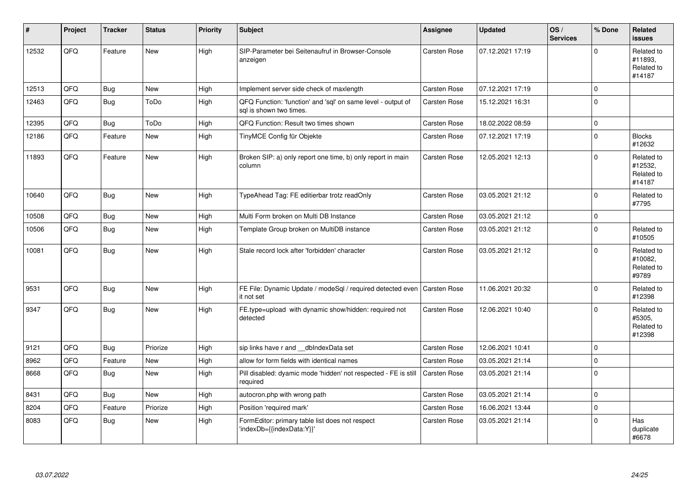| #     | Project | <b>Tracker</b> | <b>Status</b> | <b>Priority</b> | <b>Subject</b>                                                                          | <b>Assignee</b>     | <b>Updated</b>   | OS/<br><b>Services</b> | % Done      | Related<br><b>issues</b>                      |
|-------|---------|----------------|---------------|-----------------|-----------------------------------------------------------------------------------------|---------------------|------------------|------------------------|-------------|-----------------------------------------------|
| 12532 | QFQ     | Feature        | <b>New</b>    | High            | SIP-Parameter bei Seitenaufruf in Browser-Console<br>anzeigen                           | Carsten Rose        | 07.12.2021 17:19 |                        | $\Omega$    | Related to<br>#11893,<br>Related to<br>#14187 |
| 12513 | QFQ     | Bug            | <b>New</b>    | High            | Implement server side check of maxlength                                                | <b>Carsten Rose</b> | 07.12.2021 17:19 |                        | $\Omega$    |                                               |
| 12463 | QFQ     | <b>Bug</b>     | ToDo          | High            | QFQ Function: 'function' and 'sql' on same level - output of<br>sal is shown two times. | <b>Carsten Rose</b> | 15.12.2021 16:31 |                        | $\Omega$    |                                               |
| 12395 | QFQ     | <b>Bug</b>     | ToDo          | High            | QFQ Function: Result two times shown                                                    | <b>Carsten Rose</b> | 18.02.2022 08:59 |                        | $\Omega$    |                                               |
| 12186 | QFQ     | Feature        | <b>New</b>    | High            | TinyMCE Config für Objekte                                                              | <b>Carsten Rose</b> | 07.12.2021 17:19 |                        | $\Omega$    | <b>Blocks</b><br>#12632                       |
| 11893 | QFQ     | Feature        | <b>New</b>    | High            | Broken SIP: a) only report one time, b) only report in main<br>column                   | <b>Carsten Rose</b> | 12.05.2021 12:13 |                        | $\Omega$    | Related to<br>#12532,<br>Related to<br>#14187 |
| 10640 | QFQ     | Bug            | <b>New</b>    | High            | TypeAhead Tag: FE editierbar trotz readOnly                                             | <b>Carsten Rose</b> | 03.05.2021 21:12 |                        | $\Omega$    | Related to<br>#7795                           |
| 10508 | QFQ     | Bug            | <b>New</b>    | High            | Multi Form broken on Multi DB Instance                                                  | <b>Carsten Rose</b> | 03.05.2021 21:12 |                        | $\mathbf 0$ |                                               |
| 10506 | QFQ     | Bug            | <b>New</b>    | High            | Template Group broken on MultiDB instance                                               | <b>Carsten Rose</b> | 03.05.2021 21:12 |                        | $\Omega$    | Related to<br>#10505                          |
| 10081 | QFQ     | <b>Bug</b>     | New           | High            | Stale record lock after 'forbidden' character                                           | <b>Carsten Rose</b> | 03.05.2021 21:12 |                        | $\Omega$    | Related to<br>#10082.<br>Related to<br>#9789  |
| 9531  | QFQ     | <b>Bug</b>     | <b>New</b>    | High            | FE File: Dynamic Update / modeSql / required detected even   Carsten Rose<br>it not set |                     | 11.06.2021 20:32 |                        | $\Omega$    | Related to<br>#12398                          |
| 9347  | QFQ     | <b>Bug</b>     | <b>New</b>    | High            | FE.type=upload with dynamic show/hidden: required not<br>detected                       | <b>Carsten Rose</b> | 12.06.2021 10:40 |                        | $\Omega$    | Related to<br>#5305,<br>Related to<br>#12398  |
| 9121  | QFQ     | Bug            | Priorize      | High            | sip links have r and dblndexData set                                                    | <b>Carsten Rose</b> | 12.06.2021 10:41 |                        | $\Omega$    |                                               |
| 8962  | QFQ     | Feature        | <b>New</b>    | High            | allow for form fields with identical names                                              | <b>Carsten Rose</b> | 03.05.2021 21:14 |                        | $\Omega$    |                                               |
| 8668  | QFQ     | Bug            | <b>New</b>    | High            | Pill disabled: dyamic mode 'hidden' not respected - FE is still<br>required             | <b>Carsten Rose</b> | 03.05.2021 21:14 |                        | $\Omega$    |                                               |
| 8431  | QFQ     | <b>Bug</b>     | <b>New</b>    | High            | autocron.php with wrong path                                                            | <b>Carsten Rose</b> | 03.05.2021 21:14 |                        | $\Omega$    |                                               |
| 8204  | QFQ     | Feature        | Priorize      | High            | Position 'required mark'                                                                | <b>Carsten Rose</b> | 16.06.2021 13:44 |                        | $\mathbf 0$ |                                               |
| 8083  | QFQ     | Bug            | <b>New</b>    | High            | FormEditor: primary table list does not respect<br>'indexDb={{indexData:Y}}'            | <b>Carsten Rose</b> | 03.05.2021 21:14 |                        | $\Omega$    | Has<br>duplicate<br>#6678                     |